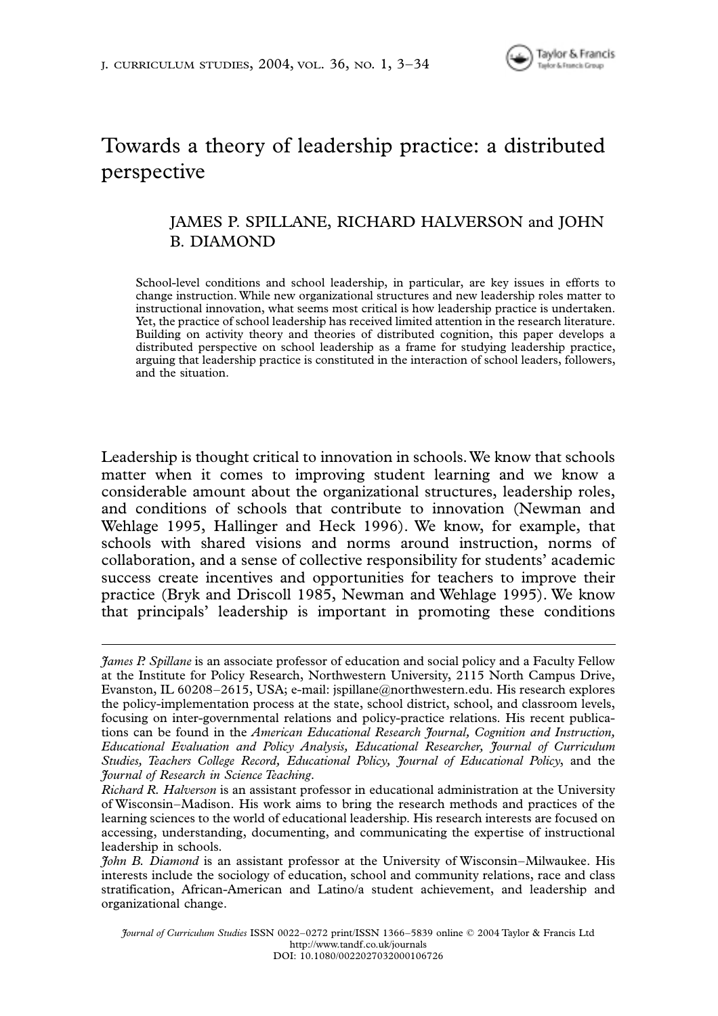

# Towards a theory of leadership practice: a distributed perspective

# JAMES P. SPILLANE, RICHARD HALVERSON and JOHN B. DIAMOND

School-level conditions and school leadership, in particular, are key issues in efforts to change instruction. While new organizational structures and new leadership roles matter to instructional innovation, what seems most critical is how leadership practice is undertaken. Yet, the practice of school leadership has received limited attention in the research literature. Building on activity theory and theories of distributed cognition, this paper develops a distributed perspective on school leadership as a frame for studying leadership practice, arguing that leadership practice is constituted in the interaction of school leaders, followers, and the situation.

Leadership is thought critical to innovation in schools. We know that schools matter when it comes to improving student learning and we know a considerable amount about the organizational structures, leadership roles, and conditions of schools that contribute to innovation (Newman and Wehlage 1995, Hallinger and Heck 1996). We know, for example, that schools with shared visions and norms around instruction, norms of collaboration, and a sense of collective responsibility for students' academic success create incentives and opportunities for teachers to improve their practice (Bryk and Driscoll 1985, Newman and Wehlage 1995). We know that principals' leadership is important in promoting these conditions

*James P. Spillane* is an associate professor of education and social policy and a Faculty Fellow at the Institute for Policy Research, Northwestern University, 2115 North Campus Drive, Evanston, IL 60208–2615, USA; e-mail: jspillane@northwestern.edu. His research explores the policy-implementation process at the state, school district, school, and classroom levels, focusing on inter-governmental relations and policy-practice relations. His recent publications can be found in the *American Educational Research Journal, Cognition and Instruction, Educational Evaluation and Policy Analysis, Educational Researcher, Journal of Curriculum Studies, Teachers College Record, Educational Policy, Journal of Educational Policy*, and the *Journal of Research in Science Teaching*.

*Richard R. Halverson* is an assistant professor in educational administration at the University of Wisconsin–Madison. His work aims to bring the research methods and practices of the learning sciences to the world of educational leadership. His research interests are focused on accessing, understanding, documenting, and communicating the expertise of instructional leadership in schools.

*John B. Diamond* is an assistant professor at the University of Wisconsin–Milwaukee. His interests include the sociology of education, school and community relations, race and class stratification, African-American and Latino/a student achievement, and leadership and organizational change.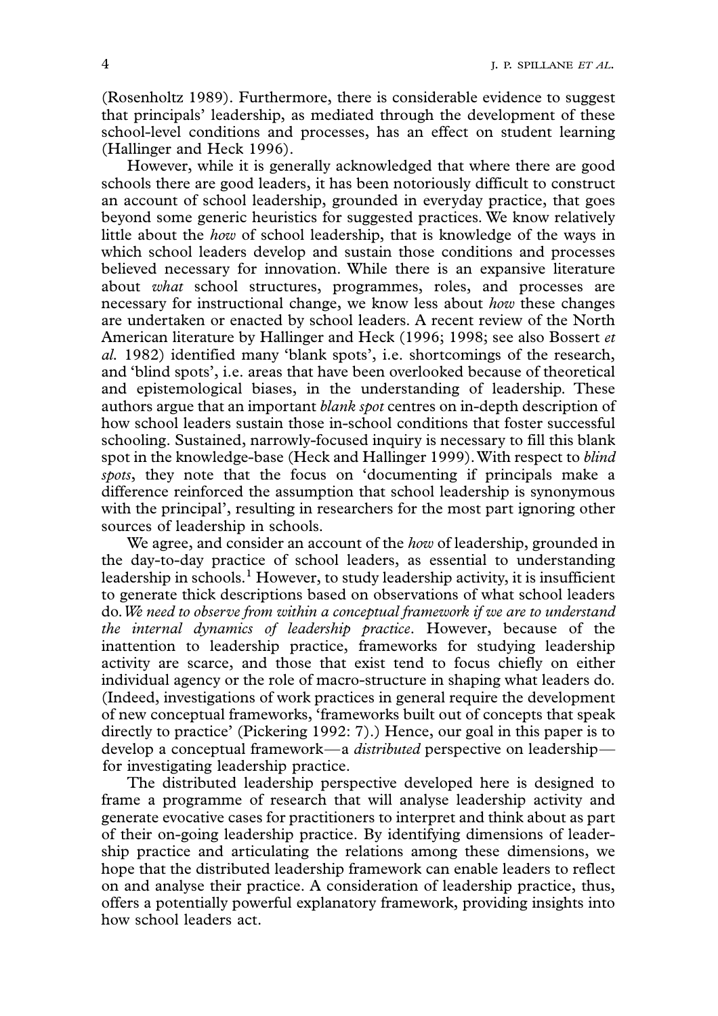(Rosenholtz 1989). Furthermore, there is considerable evidence to suggest that principals' leadership, as mediated through the development of these school-level conditions and processes, has an effect on student learning (Hallinger and Heck 1996).

However, while it is generally acknowledged that where there are good schools there are good leaders, it has been notoriously difficult to construct an account of school leadership, grounded in everyday practice, that goes beyond some generic heuristics for suggested practices. We know relatively little about the *how* of school leadership, that is knowledge of the ways in which school leaders develop and sustain those conditions and processes believed necessary for innovation. While there is an expansive literature about *what* school structures, programmes, roles, and processes are necessary for instructional change, we know less about *how* these changes are undertaken or enacted by school leaders. A recent review of the North American literature by Hallinger and Heck (1996; 1998; see also Bossert *et al.* 1982) identified many 'blank spots', i.e. shortcomings of the research, and 'blind spots', i.e. areas that have been overlooked because of theoretical and epistemological biases, in the understanding of leadership. These authors argue that an important *blank spot* centres on in-depth description of how school leaders sustain those in-school conditions that foster successful schooling. Sustained, narrowly-focused inquiry is necessary to fill this blank spot in the knowledge-base (Heck and Hallinger 1999). With respect to *blind spots*, they note that the focus on 'documenting if principals make a difference reinforced the assumption that school leadership is synonymous with the principal', resulting in researchers for the most part ignoring other sources of leadership in schools.

We agree, and consider an account of the *how* of leadership, grounded in the day-to-day practice of school leaders, as essential to understanding leadership in schools.<sup>1</sup> However, to study leadership activity, it is insufficient to generate thick descriptions based on observations of what school leaders do. *We need to observe from within a conceptual framework if we are to understand the internal dynamics of leadership practice*. However, because of the inattention to leadership practice, frameworks for studying leadership activity are scarce, and those that exist tend to focus chiefly on either individual agency or the role of macro-structure in shaping what leaders do. (Indeed, investigations of work practices in general require the development of new conceptual frameworks, 'frameworks built out of concepts that speak directly to practice' (Pickering 1992: 7).) Hence, our goal in this paper is to develop a conceptual framework—a *distributed* perspective on leadership for investigating leadership practice.

The distributed leadership perspective developed here is designed to frame a programme of research that will analyse leadership activity and generate evocative cases for practitioners to interpret and think about as part of their on-going leadership practice. By identifying dimensions of leadership practice and articulating the relations among these dimensions, we hope that the distributed leadership framework can enable leaders to reflect on and analyse their practice. A consideration of leadership practice, thus, offers a potentially powerful explanatory framework, providing insights into how school leaders act.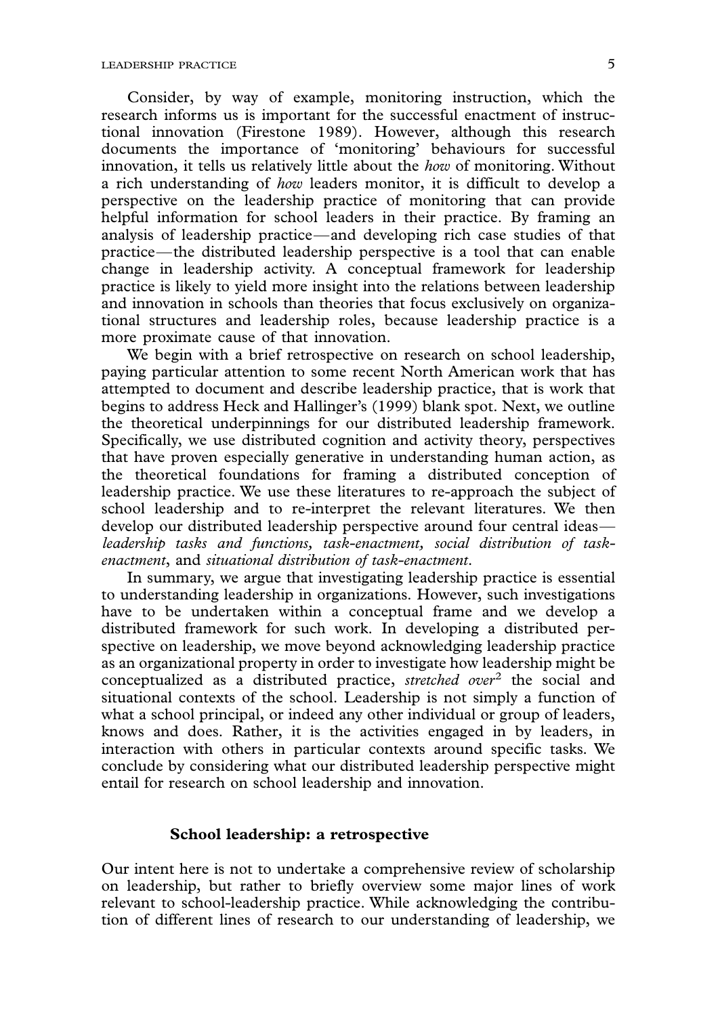Consider, by way of example, monitoring instruction, which the research informs us is important for the successful enactment of instructional innovation (Firestone 1989). However, although this research documents the importance of 'monitoring' behaviours for successful innovation, it tells us relatively little about the *how* of monitoring. Without a rich understanding of *how* leaders monitor, it is difficult to develop a perspective on the leadership practice of monitoring that can provide helpful information for school leaders in their practice. By framing an analysis of leadership practice—and developing rich case studies of that practice—the distributed leadership perspective is a tool that can enable change in leadership activity. A conceptual framework for leadership practice is likely to yield more insight into the relations between leadership and innovation in schools than theories that focus exclusively on organizational structures and leadership roles, because leadership practice is a more proximate cause of that innovation.

We begin with a brief retrospective on research on school leadership, paying particular attention to some recent North American work that has attempted to document and describe leadership practice, that is work that begins to address Heck and Hallinger's (1999) blank spot. Next, we outline the theoretical underpinnings for our distributed leadership framework. Specifically, we use distributed cognition and activity theory, perspectives that have proven especially generative in understanding human action, as the theoretical foundations for framing a distributed conception of leadership practice. We use these literatures to re-approach the subject of school leadership and to re-interpret the relevant literatures. We then develop our distributed leadership perspective around four central ideas *leadership tasks and functions, task-enactment, social distribution of taskenactment*, and *situational distribution of task-enactment*.

In summary, we argue that investigating leadership practice is essential to understanding leadership in organizations. However, such investigations have to be undertaken within a conceptual frame and we develop a distributed framework for such work. In developing a distributed perspective on leadership, we move beyond acknowledging leadership practice as an organizational property in order to investigate how leadership might be conceptualized as a distributed practice, *stretched over*<sup>2</sup> the social and situational contexts of the school. Leadership is not simply a function of what a school principal, or indeed any other individual or group of leaders, knows and does. Rather, it is the activities engaged in by leaders, in interaction with others in particular contexts around specific tasks. We conclude by considering what our distributed leadership perspective might entail for research on school leadership and innovation.

## **School leadership: a retrospective**

Our intent here is not to undertake a comprehensive review of scholarship on leadership, but rather to briefly overview some major lines of work relevant to school-leadership practice. While acknowledging the contribution of different lines of research to our understanding of leadership, we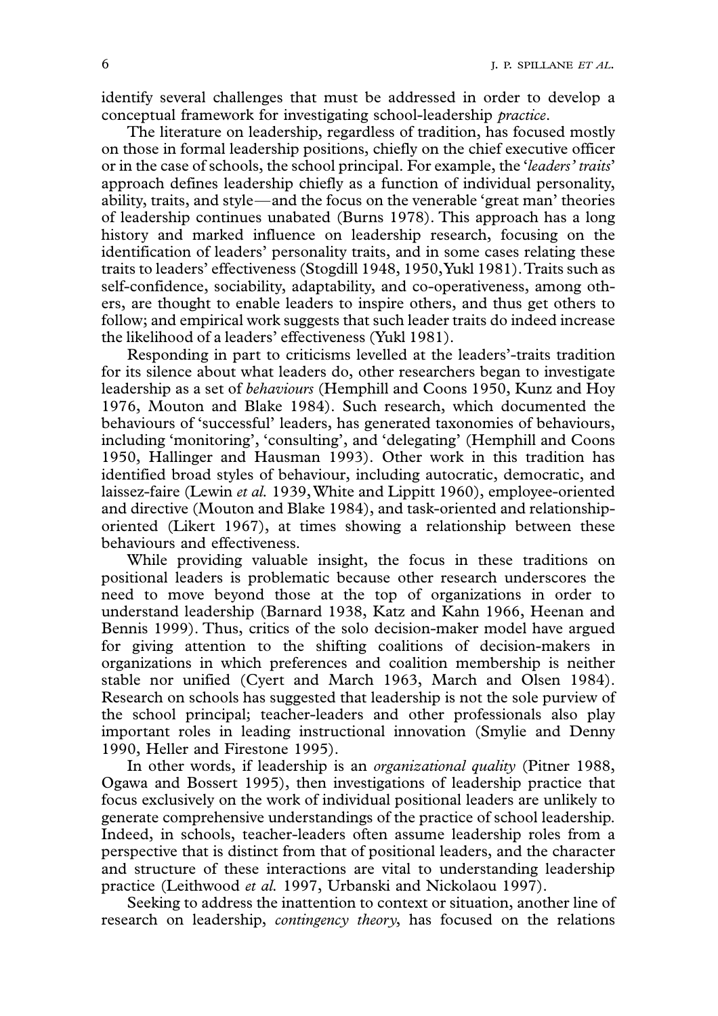identify several challenges that must be addressed in order to develop a conceptual framework for investigating school-leadership *practice*.

The literature on leadership, regardless of tradition, has focused mostly on those in formal leadership positions, chiefly on the chief executive officer or in the case of schools, the school principal. For example, the '*leaders' traits*' approach defines leadership chiefly as a function of individual personality, ability, traits, and style—and the focus on the venerable 'great man' theories of leadership continues unabated (Burns 1978). This approach has a long history and marked influence on leadership research, focusing on the identification of leaders' personality traits, and in some cases relating these traits to leaders' effectiveness (Stogdill 1948, 1950, Yukl 1981). Traits such as self-confidence, sociability, adaptability, and co-operativeness, among others, are thought to enable leaders to inspire others, and thus get others to follow; and empirical work suggests that such leader traits do indeed increase the likelihood of a leaders' effectiveness (Yukl 1981).

Responding in part to criticisms levelled at the leaders'-traits tradition for its silence about what leaders do, other researchers began to investigate leadership as a set of *behaviours* (Hemphill and Coons 1950, Kunz and Hoy 1976, Mouton and Blake 1984). Such research, which documented the behaviours of 'successful' leaders, has generated taxonomies of behaviours, including 'monitoring', 'consulting', and 'delegating' (Hemphill and Coons 1950, Hallinger and Hausman 1993). Other work in this tradition has identified broad styles of behaviour, including autocratic, democratic, and laissez-faire (Lewin *et al.* 1939, White and Lippitt 1960), employee-oriented and directive (Mouton and Blake 1984), and task-oriented and relationshiporiented (Likert 1967), at times showing a relationship between these behaviours and effectiveness.

While providing valuable insight, the focus in these traditions on positional leaders is problematic because other research underscores the need to move beyond those at the top of organizations in order to understand leadership (Barnard 1938, Katz and Kahn 1966, Heenan and Bennis 1999). Thus, critics of the solo decision-maker model have argued for giving attention to the shifting coalitions of decision-makers in organizations in which preferences and coalition membership is neither stable nor unified (Cyert and March 1963, March and Olsen 1984). Research on schools has suggested that leadership is not the sole purview of the school principal; teacher-leaders and other professionals also play important roles in leading instructional innovation (Smylie and Denny 1990, Heller and Firestone 1995).

In other words, if leadership is an *organizational quality* (Pitner 1988, Ogawa and Bossert 1995), then investigations of leadership practice that focus exclusively on the work of individual positional leaders are unlikely to generate comprehensive understandings of the practice of school leadership. Indeed, in schools, teacher-leaders often assume leadership roles from a perspective that is distinct from that of positional leaders, and the character and structure of these interactions are vital to understanding leadership practice (Leithwood *et al.* 1997, Urbanski and Nickolaou 1997).

Seeking to address the inattention to context or situation, another line of research on leadership, *contingency theory*, has focused on the relations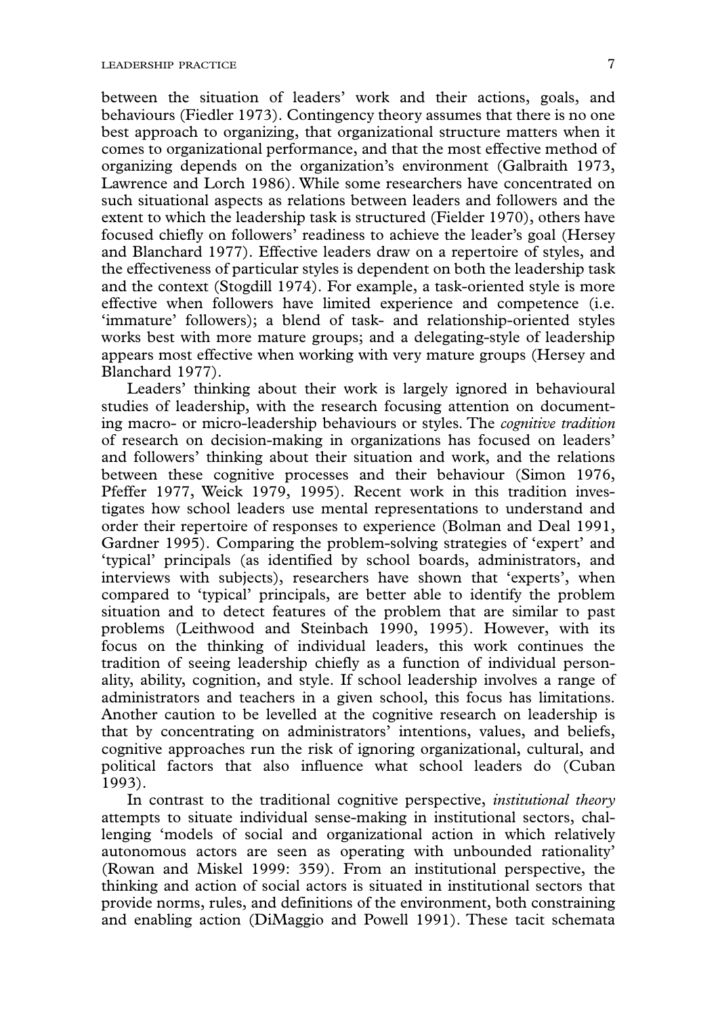between the situation of leaders' work and their actions, goals, and behaviours (Fiedler 1973). Contingency theory assumes that there is no one best approach to organizing, that organizational structure matters when it comes to organizational performance, and that the most effective method of organizing depends on the organization's environment (Galbraith 1973, Lawrence and Lorch 1986). While some researchers have concentrated on such situational aspects as relations between leaders and followers and the extent to which the leadership task is structured (Fielder 1970), others have focused chiefly on followers' readiness to achieve the leader's goal (Hersey and Blanchard 1977). Effective leaders draw on a repertoire of styles, and the effectiveness of particular styles is dependent on both the leadership task and the context (Stogdill 1974). For example, a task-oriented style is more effective when followers have limited experience and competence (i.e. 'immature' followers); a blend of task- and relationship-oriented styles works best with more mature groups; and a delegating-style of leadership appears most effective when working with very mature groups (Hersey and Blanchard 1977).

Leaders' thinking about their work is largely ignored in behavioural studies of leadership, with the research focusing attention on documenting macro- or micro-leadership behaviours or styles. The *cognitive tradition* of research on decision-making in organizations has focused on leaders' and followers' thinking about their situation and work, and the relations between these cognitive processes and their behaviour (Simon 1976, Pfeffer 1977, Weick 1979, 1995). Recent work in this tradition investigates how school leaders use mental representations to understand and order their repertoire of responses to experience (Bolman and Deal 1991, Gardner 1995). Comparing the problem-solving strategies of 'expert' and 'typical' principals (as identified by school boards, administrators, and interviews with subjects), researchers have shown that 'experts', when compared to 'typical' principals, are better able to identify the problem situation and to detect features of the problem that are similar to past problems (Leithwood and Steinbach 1990, 1995). However, with its focus on the thinking of individual leaders, this work continues the tradition of seeing leadership chiefly as a function of individual personality, ability, cognition, and style. If school leadership involves a range of administrators and teachers in a given school, this focus has limitations. Another caution to be levelled at the cognitive research on leadership is that by concentrating on administrators' intentions, values, and beliefs, cognitive approaches run the risk of ignoring organizational, cultural, and political factors that also influence what school leaders do (Cuban 1993).

In contrast to the traditional cognitive perspective, *institutional theory* attempts to situate individual sense-making in institutional sectors, challenging 'models of social and organizational action in which relatively autonomous actors are seen as operating with unbounded rationality' (Rowan and Miskel 1999: 359). From an institutional perspective, the thinking and action of social actors is situated in institutional sectors that provide norms, rules, and definitions of the environment, both constraining and enabling action (DiMaggio and Powell 1991). These tacit schemata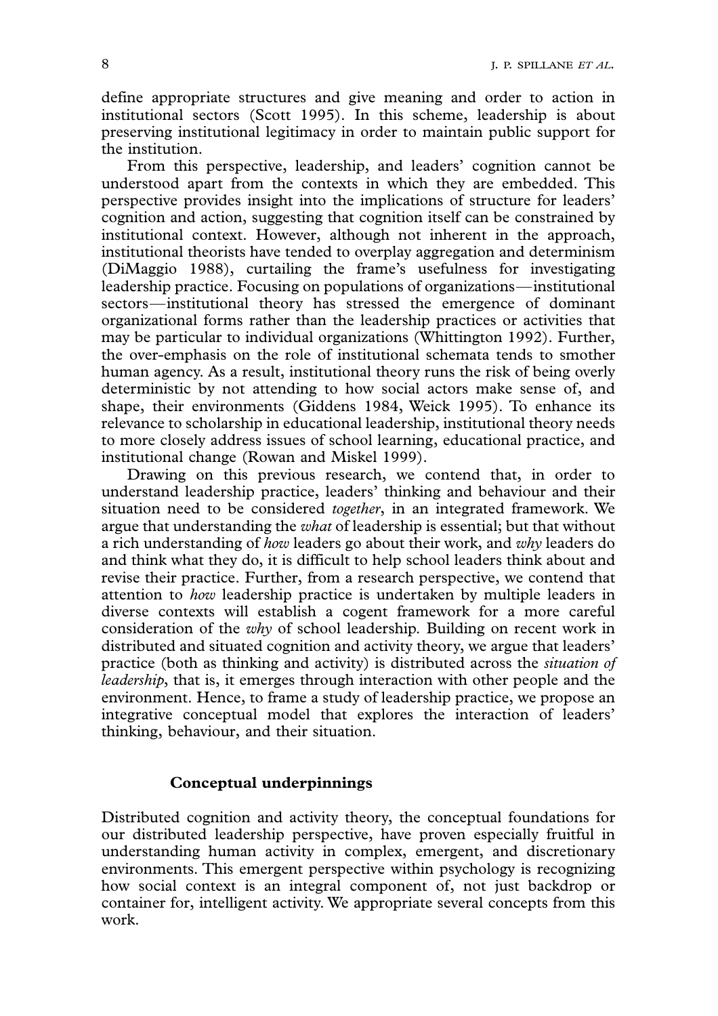define appropriate structures and give meaning and order to action in institutional sectors (Scott 1995). In this scheme, leadership is about preserving institutional legitimacy in order to maintain public support for the institution.

From this perspective, leadership, and leaders' cognition cannot be understood apart from the contexts in which they are embedded. This perspective provides insight into the implications of structure for leaders' cognition and action, suggesting that cognition itself can be constrained by institutional context. However, although not inherent in the approach, institutional theorists have tended to overplay aggregation and determinism (DiMaggio 1988), curtailing the frame's usefulness for investigating leadership practice. Focusing on populations of organizations—institutional sectors—institutional theory has stressed the emergence of dominant organizational forms rather than the leadership practices or activities that may be particular to individual organizations (Whittington 1992). Further, the over-emphasis on the role of institutional schemata tends to smother human agency. As a result, institutional theory runs the risk of being overly deterministic by not attending to how social actors make sense of, and shape, their environments (Giddens 1984, Weick 1995). To enhance its relevance to scholarship in educational leadership, institutional theory needs to more closely address issues of school learning, educational practice, and institutional change (Rowan and Miskel 1999).

Drawing on this previous research, we contend that, in order to understand leadership practice, leaders' thinking and behaviour and their situation need to be considered *together*, in an integrated framework. We argue that understanding the *what* of leadership is essential; but that without a rich understanding of *how* leaders go about their work, and *why* leaders do and think what they do, it is difficult to help school leaders think about and revise their practice. Further, from a research perspective, we contend that attention to *how* leadership practice is undertaken by multiple leaders in diverse contexts will establish a cogent framework for a more careful consideration of the *why* of school leadership. Building on recent work in distributed and situated cognition and activity theory, we argue that leaders' practice (both as thinking and activity) is distributed across the *situation of leadership*, that is, it emerges through interaction with other people and the environment. Hence, to frame a study of leadership practice, we propose an integrative conceptual model that explores the interaction of leaders' thinking, behaviour, and their situation.

#### **Conceptual underpinnings**

Distributed cognition and activity theory, the conceptual foundations for our distributed leadership perspective, have proven especially fruitful in understanding human activity in complex, emergent, and discretionary environments. This emergent perspective within psychology is recognizing how social context is an integral component of, not just backdrop or container for, intelligent activity. We appropriate several concepts from this work.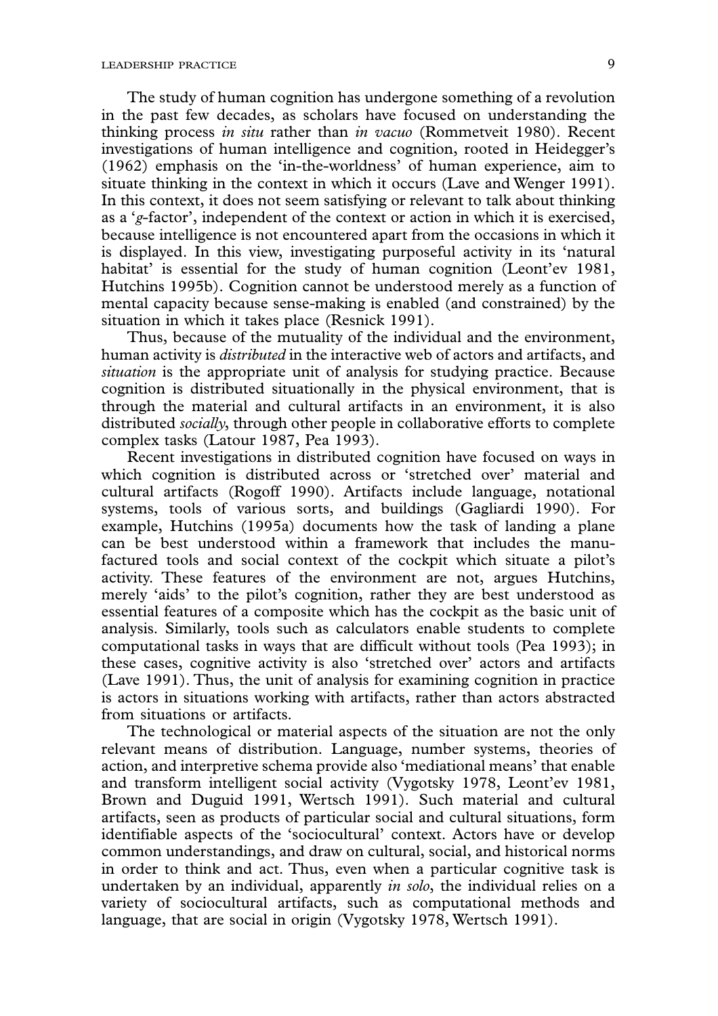The study of human cognition has undergone something of a revolution in the past few decades, as scholars have focused on understanding the thinking process *in situ* rather than *in vacuo* (Rommetveit 1980). Recent investigations of human intelligence and cognition, rooted in Heidegger's (1962) emphasis on the 'in-the-worldness' of human experience, aim to situate thinking in the context in which it occurs (Lave and Wenger 1991). In this context, it does not seem satisfying or relevant to talk about thinking as a '*g*-factor', independent of the context or action in which it is exercised, because intelligence is not encountered apart from the occasions in which it is displayed. In this view, investigating purposeful activity in its 'natural habitat' is essential for the study of human cognition (Leont'ev 1981, Hutchins 1995b). Cognition cannot be understood merely as a function of mental capacity because sense-making is enabled (and constrained) by the situation in which it takes place (Resnick 1991).

Thus, because of the mutuality of the individual and the environment, human activity is *distributed* in the interactive web of actors and artifacts, and *situation* is the appropriate unit of analysis for studying practice. Because cognition is distributed situationally in the physical environment, that is through the material and cultural artifacts in an environment, it is also distributed *socially*, through other people in collaborative efforts to complete complex tasks (Latour 1987, Pea 1993).

Recent investigations in distributed cognition have focused on ways in which cognition is distributed across or 'stretched over' material and cultural artifacts (Rogoff 1990). Artifacts include language, notational systems, tools of various sorts, and buildings (Gagliardi 1990). For example, Hutchins (1995a) documents how the task of landing a plane can be best understood within a framework that includes the manufactured tools and social context of the cockpit which situate a pilot's activity. These features of the environment are not, argues Hutchins, merely 'aids' to the pilot's cognition, rather they are best understood as essential features of a composite which has the cockpit as the basic unit of analysis. Similarly, tools such as calculators enable students to complete computational tasks in ways that are difficult without tools (Pea 1993); in these cases, cognitive activity is also 'stretched over' actors and artifacts (Lave 1991). Thus, the unit of analysis for examining cognition in practice is actors in situations working with artifacts, rather than actors abstracted from situations or artifacts.

The technological or material aspects of the situation are not the only relevant means of distribution. Language, number systems, theories of action, and interpretive schema provide also 'mediational means' that enable and transform intelligent social activity (Vygotsky 1978, Leont'ev 1981, Brown and Duguid 1991, Wertsch 1991). Such material and cultural artifacts, seen as products of particular social and cultural situations, form identifiable aspects of the 'sociocultural' context. Actors have or develop common understandings, and draw on cultural, social, and historical norms in order to think and act. Thus, even when a particular cognitive task is undertaken by an individual, apparently *in solo*, the individual relies on a variety of sociocultural artifacts, such as computational methods and language, that are social in origin (Vygotsky 1978, Wertsch 1991).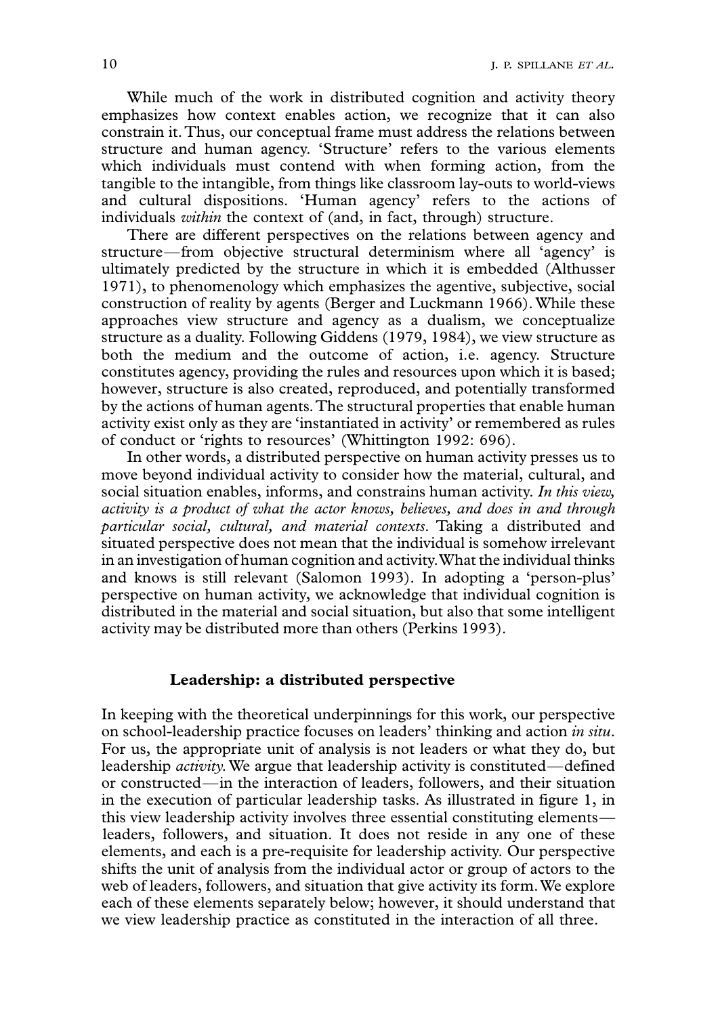While much of the work in distributed cognition and activity theory emphasizes how context enables action, we recognize that it can also constrain it. Thus, our conceptual frame must address the relations between structure and human agency. 'Structure' refers to the various elements which individuals must contend with when forming action, from the tangible to the intangible, from things like classroom lay-outs to world-views and cultural dispositions. 'Human agency' refers to the actions of individuals *within* the context of (and, in fact, through) structure.

There are different perspectives on the relations between agency and structure—from objective structural determinism where all 'agency' is ultimately predicted by the structure in which it is embedded (Althusser 1971), to phenomenology which emphasizes the agentive, subjective, social construction of reality by agents (Berger and Luckmann 1966). While these approaches view structure and agency as a dualism, we conceptualize structure as a duality. Following Giddens (1979, 1984), we view structure as both the medium and the outcome of action, i.e. agency. Structure constitutes agency, providing the rules and resources upon which it is based; however, structure is also created, reproduced, and potentially transformed by the actions of human agents. The structural properties that enable human activity exist only as they are 'instantiated in activity' or remembered as rules of conduct or 'rights to resources' (Whittington 1992: 696).

In other words, a distributed perspective on human activity presses us to move beyond individual activity to consider how the material, cultural, and social situation enables, informs, and constrains human activity. *In this view, activity is a product of what the actor knows, believes, and does in and through particular social, cultural, and material contexts*. Taking a distributed and situated perspective does not mean that the individual is somehow irrelevant in an investigation of human cognition and activity. What the individual thinks and knows is still relevant (Salomon 1993). In adopting a 'person-plus' perspective on human activity, we acknowledge that individual cognition is distributed in the material and social situation, but also that some intelligent activity may be distributed more than others (Perkins 1993).

#### **Leadership: a distributed perspective**

In keeping with the theoretical underpinnings for this work, our perspective on school-leadership practice focuses on leaders' thinking and action *in situ*. For us, the appropriate unit of analysis is not leaders or what they do, but leadership *activity*. We argue that leadership activity is constituted—defined or constructed—in the interaction of leaders, followers, and their situation in the execution of particular leadership tasks. As illustrated in figure 1, in this view leadership activity involves three essential constituting elements leaders, followers, and situation. It does not reside in any one of these elements, and each is a pre-requisite for leadership activity. Our perspective shifts the unit of analysis from the individual actor or group of actors to the web of leaders, followers, and situation that give activity its form. We explore each of these elements separately below; however, it should understand that we view leadership practice as constituted in the interaction of all three.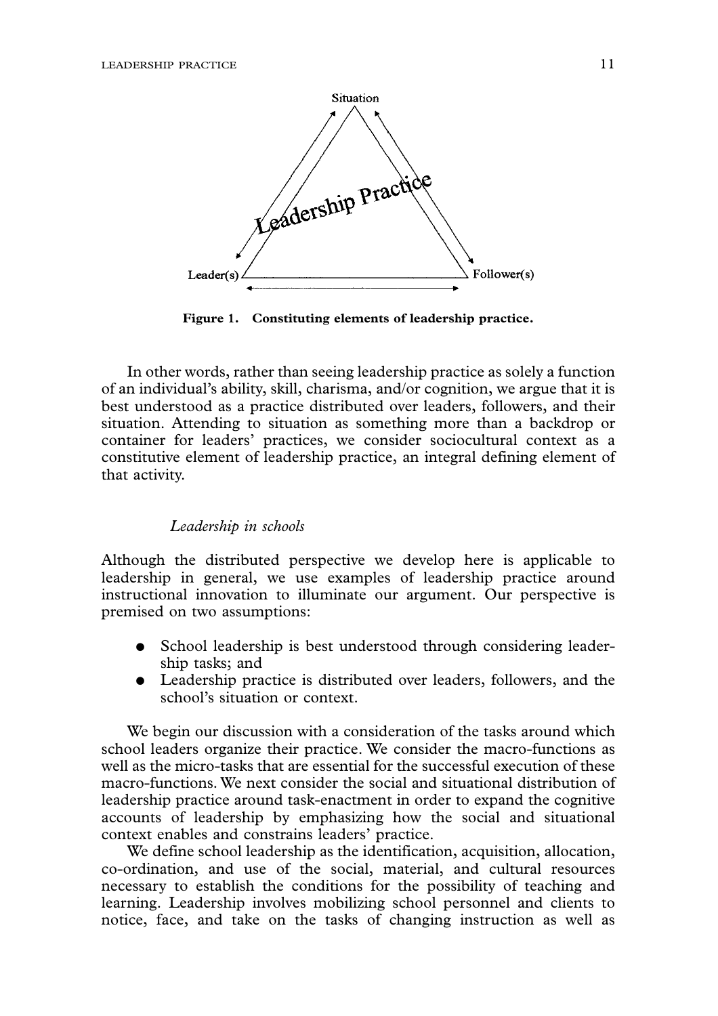

**Figure 1. Constituting elements of leadership practice.**

In other words, rather than seeing leadership practice as solely a function of an individual's ability, skill, charisma, and/or cognition, we argue that it is best understood as a practice distributed over leaders, followers, and their situation. Attending to situation as something more than a backdrop or container for leaders' practices, we consider sociocultural context as a constitutive element of leadership practice, an integral defining element of that activity.

#### *Leadership in schools*

Although the distributed perspective we develop here is applicable to leadership in general, we use examples of leadership practice around instructional innovation to illuminate our argument. Our perspective is premised on two assumptions:

- $\bullet$  School leadership is best understood through considering leadership tasks; and
- Leadership practice is distributed over leaders, followers, and the school's situation or context.

We begin our discussion with a consideration of the tasks around which school leaders organize their practice. We consider the macro-functions as well as the micro-tasks that are essential for the successful execution of these macro-functions. We next consider the social and situational distribution of leadership practice around task-enactment in order to expand the cognitive accounts of leadership by emphasizing how the social and situational context enables and constrains leaders' practice.

We define school leadership as the identification, acquisition, allocation, co-ordination, and use of the social, material, and cultural resources necessary to establish the conditions for the possibility of teaching and learning. Leadership involves mobilizing school personnel and clients to notice, face, and take on the tasks of changing instruction as well as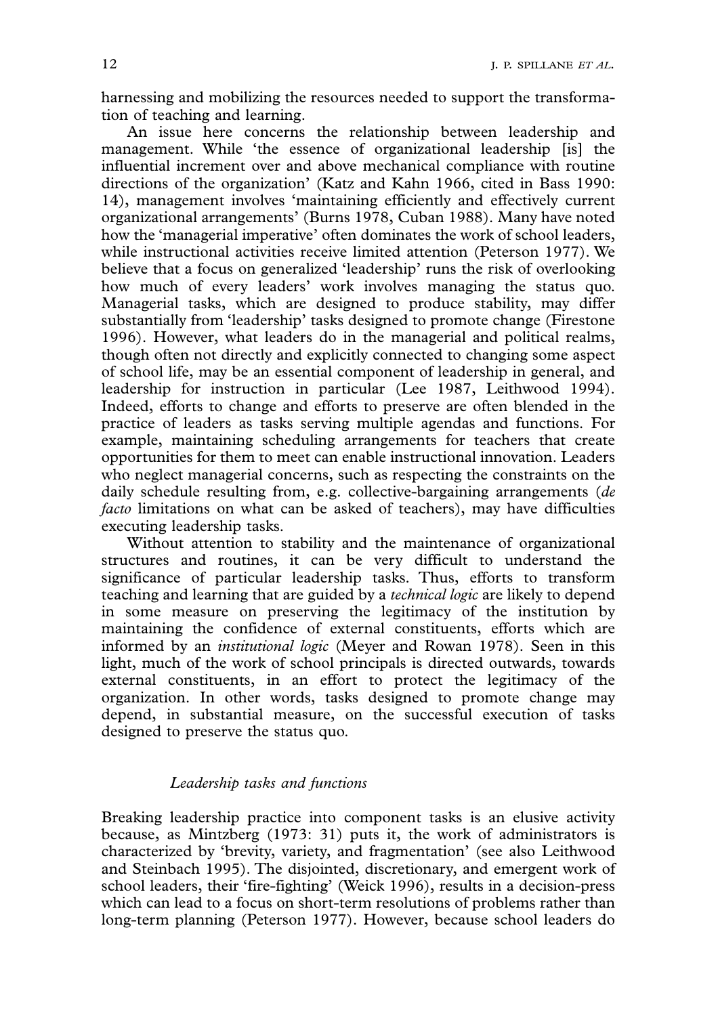harnessing and mobilizing the resources needed to support the transformation of teaching and learning.

An issue here concerns the relationship between leadership and management. While 'the essence of organizational leadership [is] the influential increment over and above mechanical compliance with routine directions of the organization' (Katz and Kahn 1966, cited in Bass 1990: 14), management involves 'maintaining efficiently and effectively current organizational arrangements' (Burns 1978, Cuban 1988). Many have noted how the 'managerial imperative' often dominates the work of school leaders, while instructional activities receive limited attention (Peterson 1977). We believe that a focus on generalized 'leadership' runs the risk of overlooking how much of every leaders' work involves managing the status quo. Managerial tasks, which are designed to produce stability, may differ substantially from 'leadership' tasks designed to promote change (Firestone 1996). However, what leaders do in the managerial and political realms, though often not directly and explicitly connected to changing some aspect of school life, may be an essential component of leadership in general, and leadership for instruction in particular (Lee 1987, Leithwood 1994). Indeed, efforts to change and efforts to preserve are often blended in the practice of leaders as tasks serving multiple agendas and functions. For example, maintaining scheduling arrangements for teachers that create opportunities for them to meet can enable instructional innovation. Leaders who neglect managerial concerns, such as respecting the constraints on the daily schedule resulting from, e.g. collective-bargaining arrangements (*de facto* limitations on what can be asked of teachers), may have difficulties executing leadership tasks.

Without attention to stability and the maintenance of organizational structures and routines, it can be very difficult to understand the significance of particular leadership tasks. Thus, efforts to transform teaching and learning that are guided by a *technical logic* are likely to depend in some measure on preserving the legitimacy of the institution by maintaining the confidence of external constituents, efforts which are informed by an *institutional logic* (Meyer and Rowan 1978). Seen in this light, much of the work of school principals is directed outwards, towards external constituents, in an effort to protect the legitimacy of the organization. In other words, tasks designed to promote change may depend, in substantial measure, on the successful execution of tasks designed to preserve the status quo.

## *Leadership tasks and functions*

Breaking leadership practice into component tasks is an elusive activity because, as Mintzberg (1973: 31) puts it, the work of administrators is characterized by 'brevity, variety, and fragmentation' (see also Leithwood and Steinbach 1995). The disjointed, discretionary, and emergent work of school leaders, their 'fire-fighting' (Weick 1996), results in a decision-press which can lead to a focus on short-term resolutions of problems rather than long-term planning (Peterson 1977). However, because school leaders do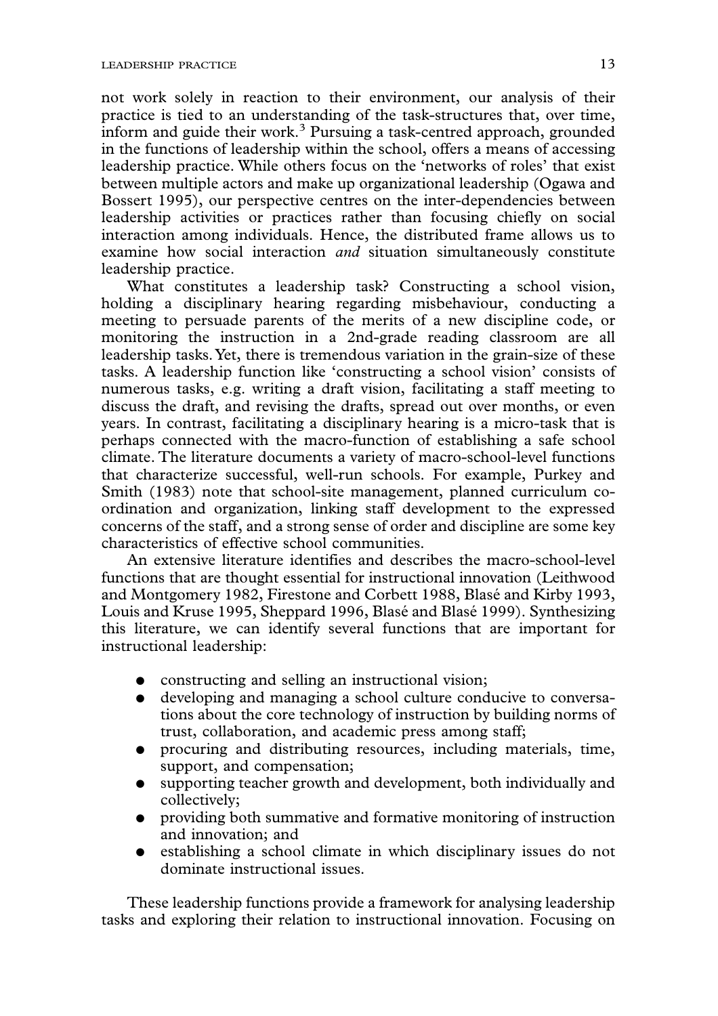not work solely in reaction to their environment, our analysis of their practice is tied to an understanding of the task-structures that, over time, inform and guide their work.<sup>3</sup> Pursuing a task-centred approach, grounded in the functions of leadership within the school, offers a means of accessing leadership practice. While others focus on the 'networks of roles' that exist between multiple actors and make up organizational leadership (Ogawa and Bossert 1995), our perspective centres on the inter-dependencies between leadership activities or practices rather than focusing chiefly on social interaction among individuals. Hence, the distributed frame allows us to examine how social interaction *and* situation simultaneously constitute leadership practice.

What constitutes a leadership task? Constructing a school vision, holding a disciplinary hearing regarding misbehaviour, conducting a meeting to persuade parents of the merits of a new discipline code, or monitoring the instruction in a 2nd-grade reading classroom are all leadership tasks. Yet, there is tremendous variation in the grain-size of these tasks. A leadership function like 'constructing a school vision' consists of numerous tasks, e.g. writing a draft vision, facilitating a staff meeting to discuss the draft, and revising the drafts, spread out over months, or even years. In contrast, facilitating a disciplinary hearing is a micro-task that is perhaps connected with the macro-function of establishing a safe school climate. The literature documents a variety of macro-school-level functions that characterize successful, well-run schools. For example, Purkey and Smith (1983) note that school-site management, planned curriculum coordination and organization, linking staff development to the expressed concerns of the staff, and a strong sense of order and discipline are some key characteristics of effective school communities.

An extensive literature identifies and describes the macro-school-level functions that are thought essential for instructional innovation (Leithwood and Montgomery 1982, Firestone and Corbett 1988, Blase and Kirby 1993, ´ Louis and Kruse 1995, Sheppard 1996, Blasé and Blasé 1999). Synthesizing this literature, we can identify several functions that are important for instructional leadership:

- $\bullet$ constructing and selling an instructional vision;
- $\bullet$  developing and managing a school culture conducive to conversations about the core technology of instruction by building norms of trust, collaboration, and academic press among staff;
- $\bullet$  procuring and distributing resources, including materials, time, support, and compensation;
- $\bullet$  supporting teacher growth and development, both individually and collectively;
- providing both summative and formative monitoring of instruction and innovation; and
- $\bullet$  establishing a school climate in which disciplinary issues do not dominate instructional issues.

These leadership functions provide a framework for analysing leadership tasks and exploring their relation to instructional innovation. Focusing on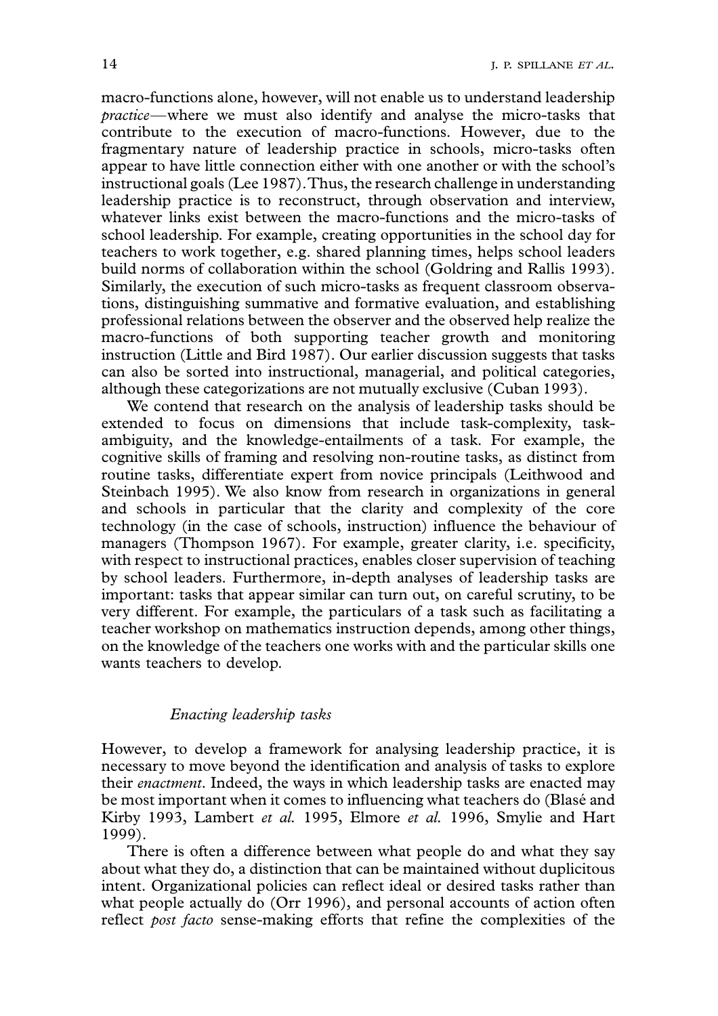macro-functions alone, however, will not enable us to understand leadership *practice*—where we must also identify and analyse the micro-tasks that contribute to the execution of macro-functions. However, due to the fragmentary nature of leadership practice in schools, micro-tasks often appear to have little connection either with one another or with the school's instructional goals (Lee 1987). Thus, the research challenge in understanding leadership practice is to reconstruct, through observation and interview, whatever links exist between the macro-functions and the micro-tasks of school leadership. For example, creating opportunities in the school day for teachers to work together, e.g. shared planning times, helps school leaders build norms of collaboration within the school (Goldring and Rallis 1993). Similarly, the execution of such micro-tasks as frequent classroom observations, distinguishing summative and formative evaluation, and establishing professional relations between the observer and the observed help realize the macro-functions of both supporting teacher growth and monitoring instruction (Little and Bird 1987). Our earlier discussion suggests that tasks can also be sorted into instructional, managerial, and political categories, although these categorizations are not mutually exclusive (Cuban 1993).

We contend that research on the analysis of leadership tasks should be extended to focus on dimensions that include task-complexity, taskambiguity, and the knowledge-entailments of a task. For example, the cognitive skills of framing and resolving non-routine tasks, as distinct from routine tasks, differentiate expert from novice principals (Leithwood and Steinbach 1995). We also know from research in organizations in general and schools in particular that the clarity and complexity of the core technology (in the case of schools, instruction) influence the behaviour of managers (Thompson 1967). For example, greater clarity, i.e. specificity, with respect to instructional practices, enables closer supervision of teaching by school leaders. Furthermore, in-depth analyses of leadership tasks are important: tasks that appear similar can turn out, on careful scrutiny, to be very different. For example, the particulars of a task such as facilitating a teacher workshop on mathematics instruction depends, among other things, on the knowledge of the teachers one works with and the particular skills one wants teachers to develop.

#### *Enacting leadership tasks*

However, to develop a framework for analysing leadership practice, it is necessary to move beyond the identification and analysis of tasks to explore their *enactment*. Indeed, the ways in which leadership tasks are enacted may be most important when it comes to influencing what teachers do (Blasé and Kirby 1993, Lambert *et al.* 1995, Elmore *et al.* 1996, Smylie and Hart 1999).

There is often a difference between what people do and what they say about what they do, a distinction that can be maintained without duplicitous intent. Organizational policies can reflect ideal or desired tasks rather than what people actually do (Orr 1996), and personal accounts of action often reflect *post facto* sense-making efforts that refine the complexities of the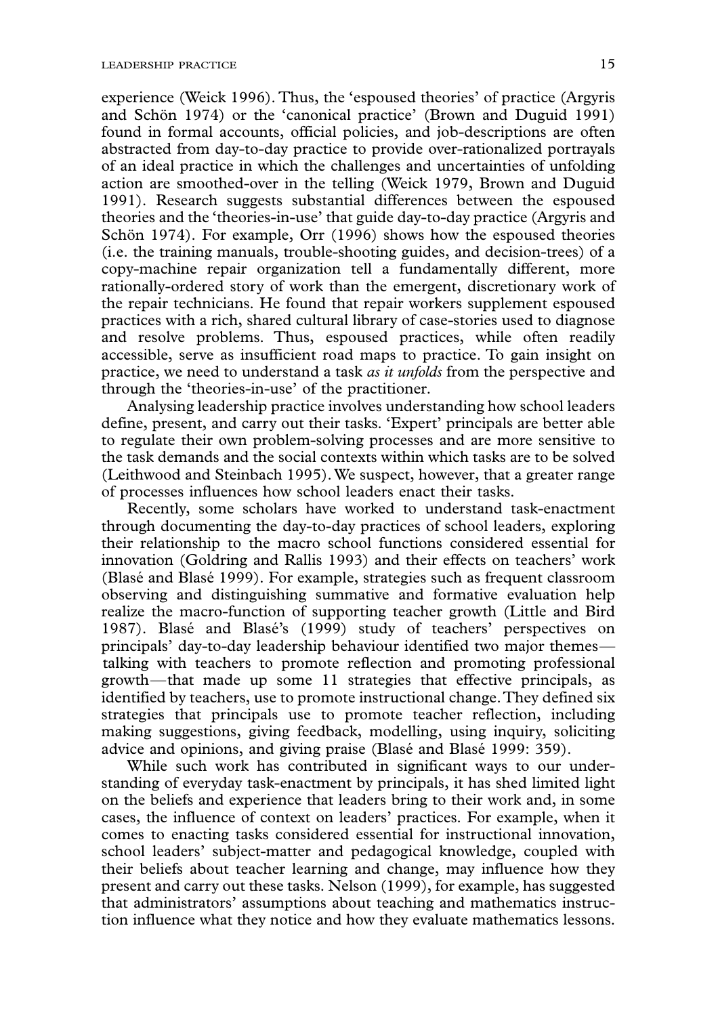experience (Weick 1996). Thus, the 'espoused theories' of practice (Argyris and Schön 1974) or the 'canonical practice' (Brown and Duguid 1991) found in formal accounts, official policies, and job-descriptions are often abstracted from day-to-day practice to provide over-rationalized portrayals of an ideal practice in which the challenges and uncertainties of unfolding action are smoothed-over in the telling (Weick 1979, Brown and Duguid 1991). Research suggests substantial differences between the espoused theories and the 'theories-in-use' that guide day-to-day practice (Argyris and Schön 1974). For example, Orr  $(1996)$  shows how the espoused theories (i.e. the training manuals, trouble-shooting guides, and decision-trees) of a copy-machine repair organization tell a fundamentally different, more rationally-ordered story of work than the emergent, discretionary work of the repair technicians. He found that repair workers supplement espoused practices with a rich, shared cultural library of case-stories used to diagnose and resolve problems. Thus, espoused practices, while often readily accessible, serve as insufficient road maps to practice. To gain insight on practice, we need to understand a task *as it unfolds* from the perspective and through the 'theories-in-use' of the practitioner.

Analysing leadership practice involves understanding how school leaders define, present, and carry out their tasks. 'Expert' principals are better able to regulate their own problem-solving processes and are more sensitive to the task demands and the social contexts within which tasks are to be solved (Leithwood and Steinbach 1995). We suspect, however, that a greater range of processes influences how school leaders enact their tasks.

Recently, some scholars have worked to understand task-enactment through documenting the day-to-day practices of school leaders, exploring their relationship to the macro school functions considered essential for innovation (Goldring and Rallis 1993) and their effects on teachers' work (Blasé and Blasé 1999). For example, strategies such as frequent classroom observing and distinguishing summative and formative evaluation help realize the macro-function of supporting teacher growth (Little and Bird 1987). Blasé and Blasé's (1999) study of teachers' perspectives on principals' day-to-day leadership behaviour identified two major themes talking with teachers to promote reflection and promoting professional growth—that made up some 11 strategies that effective principals, as identified by teachers, use to promote instructional change. They defined six strategies that principals use to promote teacher reflection, including making suggestions, giving feedback, modelling, using inquiry, soliciting advice and opinions, and giving praise (Blasé and Blasé 1999: 359).

While such work has contributed in significant ways to our understanding of everyday task-enactment by principals, it has shed limited light on the beliefs and experience that leaders bring to their work and, in some cases, the influence of context on leaders' practices. For example, when it comes to enacting tasks considered essential for instructional innovation, school leaders' subject-matter and pedagogical knowledge, coupled with their beliefs about teacher learning and change, may influence how they present and carry out these tasks. Nelson (1999), for example, has suggested that administrators' assumptions about teaching and mathematics instruction influence what they notice and how they evaluate mathematics lessons.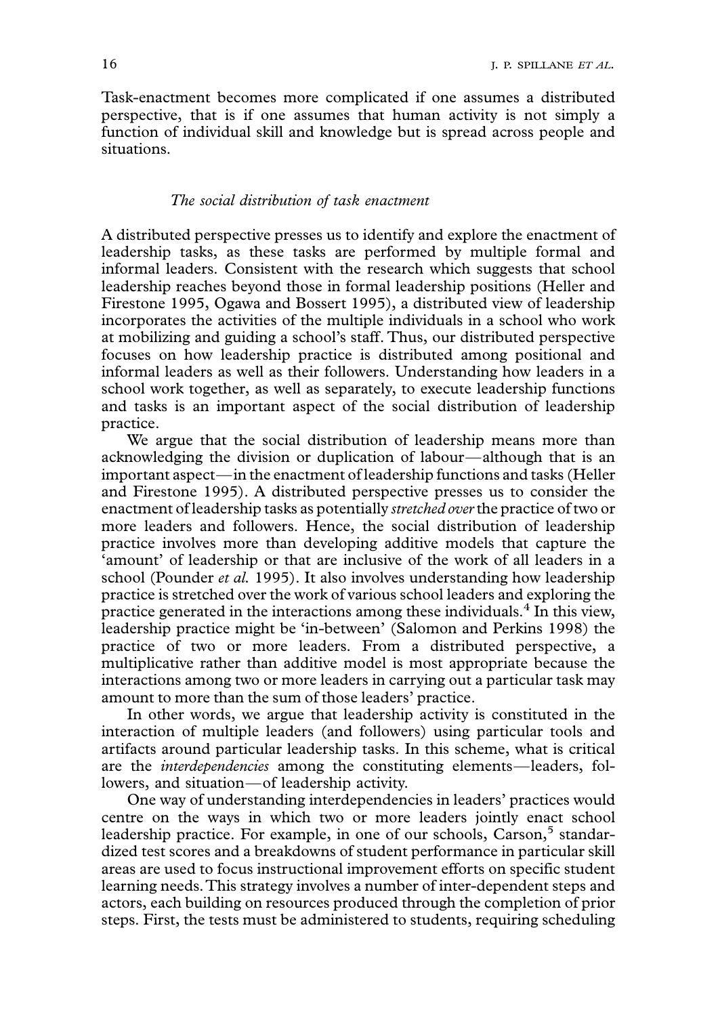Task-enactment becomes more complicated if one assumes a distributed perspective, that is if one assumes that human activity is not simply a function of individual skill and knowledge but is spread across people and situations.

#### *The social distribution of task enactment*

A distributed perspective presses us to identify and explore the enactment of leadership tasks, as these tasks are performed by multiple formal and informal leaders. Consistent with the research which suggests that school leadership reaches beyond those in formal leadership positions (Heller and Firestone 1995, Ogawa and Bossert 1995), a distributed view of leadership incorporates the activities of the multiple individuals in a school who work at mobilizing and guiding a school's staff. Thus, our distributed perspective focuses on how leadership practice is distributed among positional and informal leaders as well as their followers. Understanding how leaders in a school work together, as well as separately, to execute leadership functions and tasks is an important aspect of the social distribution of leadership practice.

We argue that the social distribution of leadership means more than acknowledging the division or duplication of labour—although that is an important aspect—in the enactment of leadership functions and tasks (Heller and Firestone 1995). A distributed perspective presses us to consider the enactment of leadership tasks as potentially *stretched over*the practice of two or more leaders and followers. Hence, the social distribution of leadership practice involves more than developing additive models that capture the 'amount' of leadership or that are inclusive of the work of all leaders in a school (Pounder *et al.* 1995). It also involves understanding how leadership practice is stretched over the work of various school leaders and exploring the practice generated in the interactions among these individuals.<sup>4</sup> In this view, leadership practice might be 'in-between' (Salomon and Perkins 1998) the practice of two or more leaders. From a distributed perspective, a multiplicative rather than additive model is most appropriate because the interactions among two or more leaders in carrying out a particular task may amount to more than the sum of those leaders' practice.

In other words, we argue that leadership activity is constituted in the interaction of multiple leaders (and followers) using particular tools and artifacts around particular leadership tasks. In this scheme, what is critical are the *interdependencies* among the constituting elements—leaders, followers, and situation—of leadership activity.

One way of understanding interdependencies in leaders' practices would centre on the ways in which two or more leaders jointly enact school leadership practice. For example, in one of our schools,  $Carson<sub>1</sub><sup>5</sup> standard$ dized test scores and a breakdowns of student performance in particular skill areas are used to focus instructional improvement efforts on specific student learning needs. This strategy involves a number of inter-dependent steps and actors, each building on resources produced through the completion of prior steps. First, the tests must be administered to students, requiring scheduling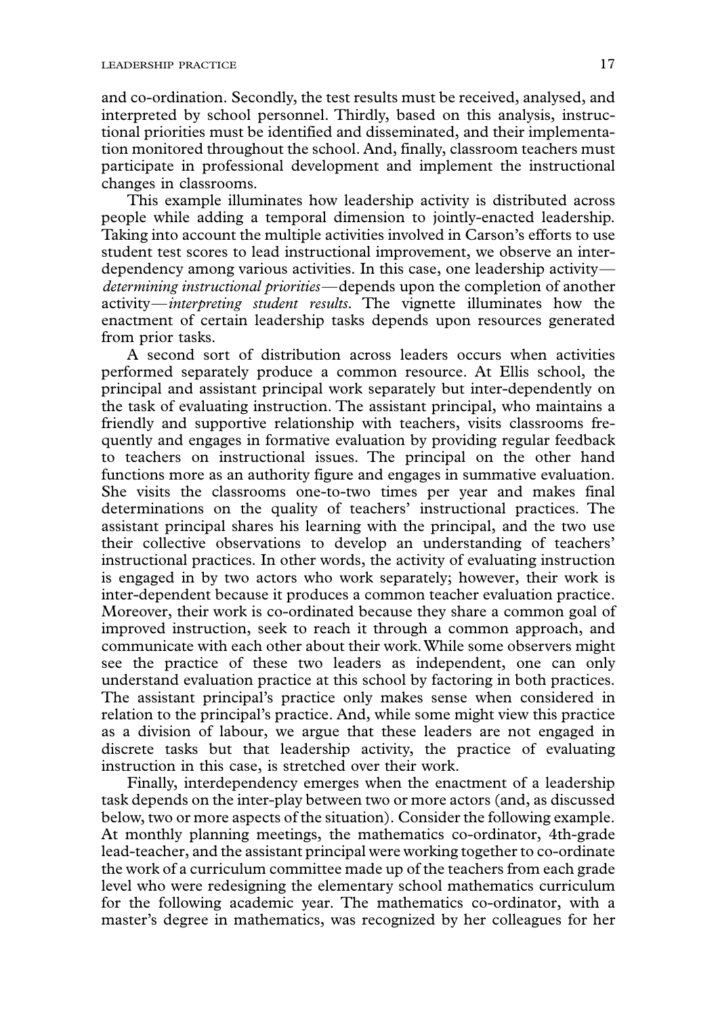and co-ordination. Secondly, the test results must be received, analysed, and interpreted by school personnel. Thirdly, based on this analysis, instructional priorities must be identified and disseminated, and their implementation monitored throughout the school. And, finally, classroom teachers must participate in professional development and implement the instructional changes in classrooms.

This example illuminates how leadership activity is distributed across people while adding a temporal dimension to jointly-enacted leadership. Taking into account the multiple activities involved in Carson's efforts to use student test scores to lead instructional improvement, we observe an interdependency among various activities. In this case, one leadership activity *determining instructional priorities*—depends upon the completion of another activity—*interpreting student results*. The vignette illuminates how the enactment of certain leadership tasks depends upon resources generated from prior tasks.

A second sort of distribution across leaders occurs when activities performed separately produce a common resource. At Ellis school, the principal and assistant principal work separately but inter-dependently on the task of evaluating instruction. The assistant principal, who maintains a friendly and supportive relationship with teachers, visits classrooms frequently and engages in formative evaluation by providing regular feedback to teachers on instructional issues. The principal on the other hand functions more as an authority figure and engages in summative evaluation. She visits the classrooms one-to-two times per year and makes final determinations on the quality of teachers' instructional practices. The assistant principal shares his learning with the principal, and the two use their collective observations to develop an understanding of teachers' instructional practices. In other words, the activity of evaluating instruction is engaged in by two actors who work separately; however, their work is inter-dependent because it produces a common teacher evaluation practice. Moreover, their work is co-ordinated because they share a common goal of improved instruction, seek to reach it through a common approach, and communicate with each other about their work. While some observers might see the practice of these two leaders as independent, one can only understand evaluation practice at this school by factoring in both practices. The assistant principal's practice only makes sense when considered in relation to the principal's practice. And, while some might view this practice as a division of labour, we argue that these leaders are not engaged in discrete tasks but that leadership activity, the practice of evaluating instruction in this case, is stretched over their work.

Finally, interdependency emerges when the enactment of a leadership task depends on the inter-play between two or more actors (and, as discussed below, two or more aspects of the situation). Consider the following example. At monthly planning meetings, the mathematics co-ordinator, 4th-grade lead-teacher, and the assistant principal were working together to co-ordinate the work of a curriculum committee made up of the teachers from each grade level who were redesigning the elementary school mathematics curriculum for the following academic year. The mathematics co-ordinator, with a master's degree in mathematics, was recognized by her colleagues for her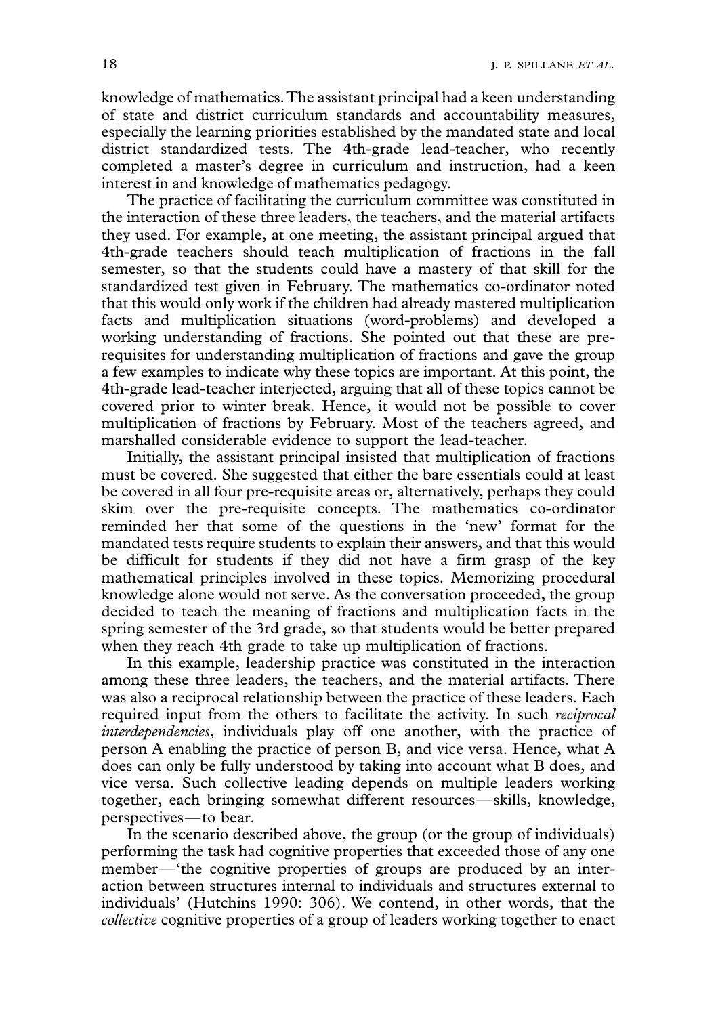knowledge of mathematics. The assistant principal had a keen understanding of state and district curriculum standards and accountability measures, especially the learning priorities established by the mandated state and local district standardized tests. The 4th-grade lead-teacher, who recently completed a master's degree in curriculum and instruction, had a keen interest in and knowledge of mathematics pedagogy.

The practice of facilitating the curriculum committee was constituted in the interaction of these three leaders, the teachers, and the material artifacts they used. For example, at one meeting, the assistant principal argued that 4th-grade teachers should teach multiplication of fractions in the fall semester, so that the students could have a mastery of that skill for the standardized test given in February. The mathematics co-ordinator noted that this would only work if the children had already mastered multiplication facts and multiplication situations (word-problems) and developed a working understanding of fractions. She pointed out that these are prerequisites for understanding multiplication of fractions and gave the group a few examples to indicate why these topics are important. At this point, the 4th-grade lead-teacher interjected, arguing that all of these topics cannot be covered prior to winter break. Hence, it would not be possible to cover multiplication of fractions by February. Most of the teachers agreed, and marshalled considerable evidence to support the lead-teacher.

Initially, the assistant principal insisted that multiplication of fractions must be covered. She suggested that either the bare essentials could at least be covered in all four pre-requisite areas or, alternatively, perhaps they could skim over the pre-requisite concepts. The mathematics co-ordinator reminded her that some of the questions in the 'new' format for the mandated tests require students to explain their answers, and that this would be difficult for students if they did not have a firm grasp of the key mathematical principles involved in these topics. Memorizing procedural knowledge alone would not serve. As the conversation proceeded, the group decided to teach the meaning of fractions and multiplication facts in the spring semester of the 3rd grade, so that students would be better prepared when they reach 4th grade to take up multiplication of fractions.

In this example, leadership practice was constituted in the interaction among these three leaders, the teachers, and the material artifacts. There was also a reciprocal relationship between the practice of these leaders. Each required input from the others to facilitate the activity. In such *reciprocal interdependencies*, individuals play off one another, with the practice of person A enabling the practice of person B, and vice versa. Hence, what A does can only be fully understood by taking into account what B does, and vice versa. Such collective leading depends on multiple leaders working together, each bringing somewhat different resources—skills, knowledge, perspectives—to bear.

In the scenario described above, the group (or the group of individuals) performing the task had cognitive properties that exceeded those of any one member—'the cognitive properties of groups are produced by an interaction between structures internal to individuals and structures external to individuals' (Hutchins 1990: 306). We contend, in other words, that the *collective* cognitive properties of a group of leaders working together to enact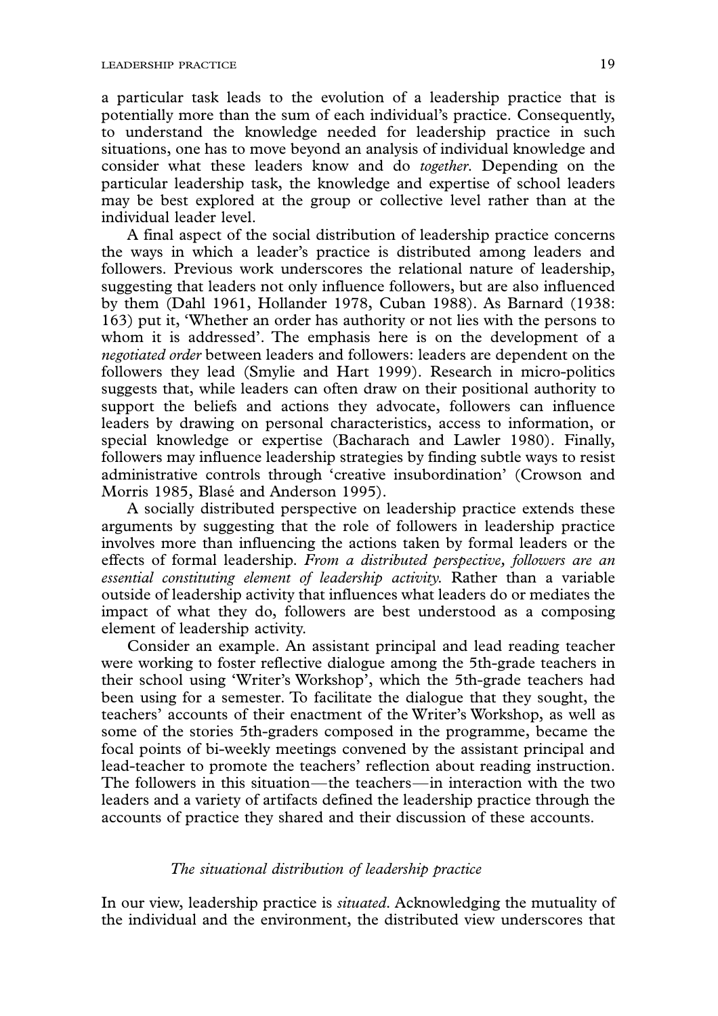a particular task leads to the evolution of a leadership practice that is potentially more than the sum of each individual's practice. Consequently, to understand the knowledge needed for leadership practice in such situations, one has to move beyond an analysis of individual knowledge and consider what these leaders know and do *together*. Depending on the particular leadership task, the knowledge and expertise of school leaders may be best explored at the group or collective level rather than at the individual leader level.

A final aspect of the social distribution of leadership practice concerns the ways in which a leader's practice is distributed among leaders and followers. Previous work underscores the relational nature of leadership, suggesting that leaders not only influence followers, but are also influenced by them (Dahl 1961, Hollander 1978, Cuban 1988). As Barnard (1938: 163) put it, 'Whether an order has authority or not lies with the persons to whom it is addressed'. The emphasis here is on the development of a *negotiated order* between leaders and followers: leaders are dependent on the followers they lead (Smylie and Hart 1999). Research in micro-politics suggests that, while leaders can often draw on their positional authority to support the beliefs and actions they advocate, followers can influence leaders by drawing on personal characteristics, access to information, or special knowledge or expertise (Bacharach and Lawler 1980). Finally, followers may influence leadership strategies by finding subtle ways to resist administrative controls through 'creative insubordination' (Crowson and Morris 1985, Blasé and Anderson 1995).

A socially distributed perspective on leadership practice extends these arguments by suggesting that the role of followers in leadership practice involves more than influencing the actions taken by formal leaders or the effects of formal leadership. *From a distributed perspective, followers are an essential constituting element of leadership activity*. Rather than a variable outside of leadership activity that influences what leaders do or mediates the impact of what they do, followers are best understood as a composing element of leadership activity.

Consider an example. An assistant principal and lead reading teacher were working to foster reflective dialogue among the 5th-grade teachers in their school using 'Writer's Workshop', which the 5th-grade teachers had been using for a semester. To facilitate the dialogue that they sought, the teachers' accounts of their enactment of the Writer's Workshop, as well as some of the stories 5th-graders composed in the programme, became the focal points of bi-weekly meetings convened by the assistant principal and lead-teacher to promote the teachers' reflection about reading instruction. The followers in this situation—the teachers—in interaction with the two leaders and a variety of artifacts defined the leadership practice through the accounts of practice they shared and their discussion of these accounts.

# *The situational distribution of leadership practice*

In our view, leadership practice is *situated*. Acknowledging the mutuality of the individual and the environment, the distributed view underscores that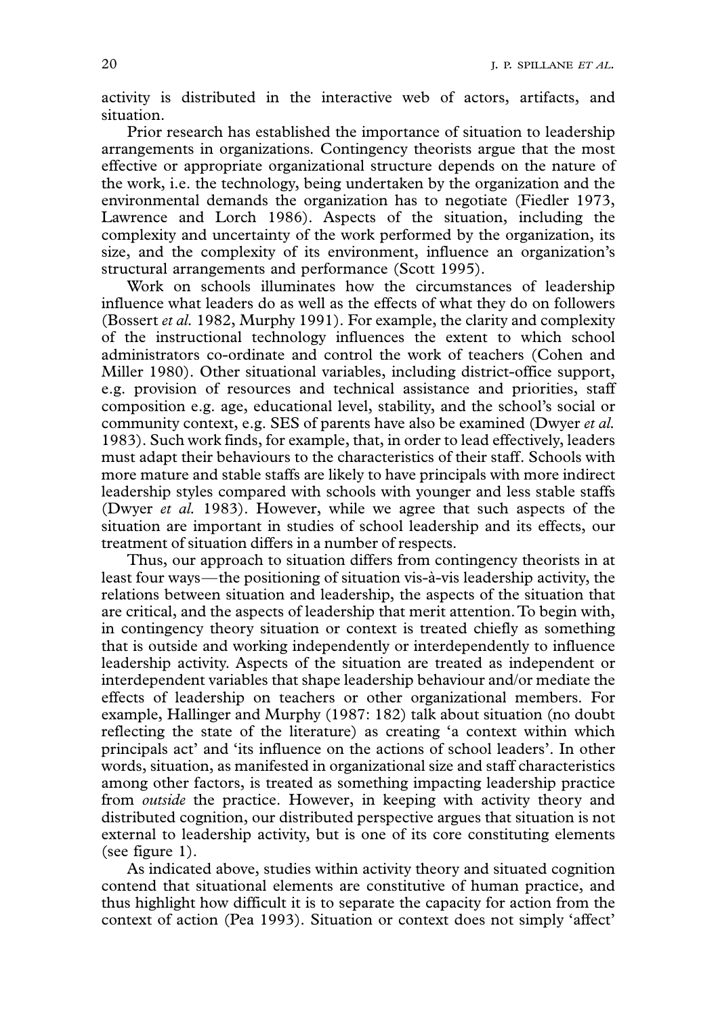activity is distributed in the interactive web of actors, artifacts, and situation.

Prior research has established the importance of situation to leadership arrangements in organizations. Contingency theorists argue that the most effective or appropriate organizational structure depends on the nature of the work, i.e. the technology, being undertaken by the organization and the environmental demands the organization has to negotiate (Fiedler 1973, Lawrence and Lorch 1986). Aspects of the situation, including the complexity and uncertainty of the work performed by the organization, its size, and the complexity of its environment, influence an organization's structural arrangements and performance (Scott 1995).

Work on schools illuminates how the circumstances of leadership influence what leaders do as well as the effects of what they do on followers (Bossert *et al.* 1982, Murphy 1991). For example, the clarity and complexity of the instructional technology influences the extent to which school administrators co-ordinate and control the work of teachers (Cohen and Miller 1980). Other situational variables, including district-office support, e.g. provision of resources and technical assistance and priorities, staff composition e.g. age, educational level, stability, and the school's social or community context, e.g. SES of parents have also be examined (Dwyer *et al.* 1983). Such work finds, for example, that, in order to lead effectively, leaders must adapt their behaviours to the characteristics of their staff. Schools with more mature and stable staffs are likely to have principals with more indirect leadership styles compared with schools with younger and less stable staffs (Dwyer *et al.* 1983). However, while we agree that such aspects of the situation are important in studies of school leadership and its effects, our treatment of situation differs in a number of respects.

Thus, our approach to situation differs from contingency theorists in at least four ways—the positioning of situation vis-à-vis leadership activity, the relations between situation and leadership, the aspects of the situation that are critical, and the aspects of leadership that merit attention. To begin with, in contingency theory situation or context is treated chiefly as something that is outside and working independently or interdependently to influence leadership activity. Aspects of the situation are treated as independent or interdependent variables that shape leadership behaviour and/or mediate the effects of leadership on teachers or other organizational members. For example, Hallinger and Murphy (1987: 182) talk about situation (no doubt reflecting the state of the literature) as creating 'a context within which principals act' and 'its influence on the actions of school leaders'. In other words, situation, as manifested in organizational size and staff characteristics among other factors, is treated as something impacting leadership practice from *outside* the practice. However, in keeping with activity theory and distributed cognition, our distributed perspective argues that situation is not external to leadership activity, but is one of its core constituting elements (see figure 1).

As indicated above, studies within activity theory and situated cognition contend that situational elements are constitutive of human practice, and thus highlight how difficult it is to separate the capacity for action from the context of action (Pea 1993). Situation or context does not simply 'affect'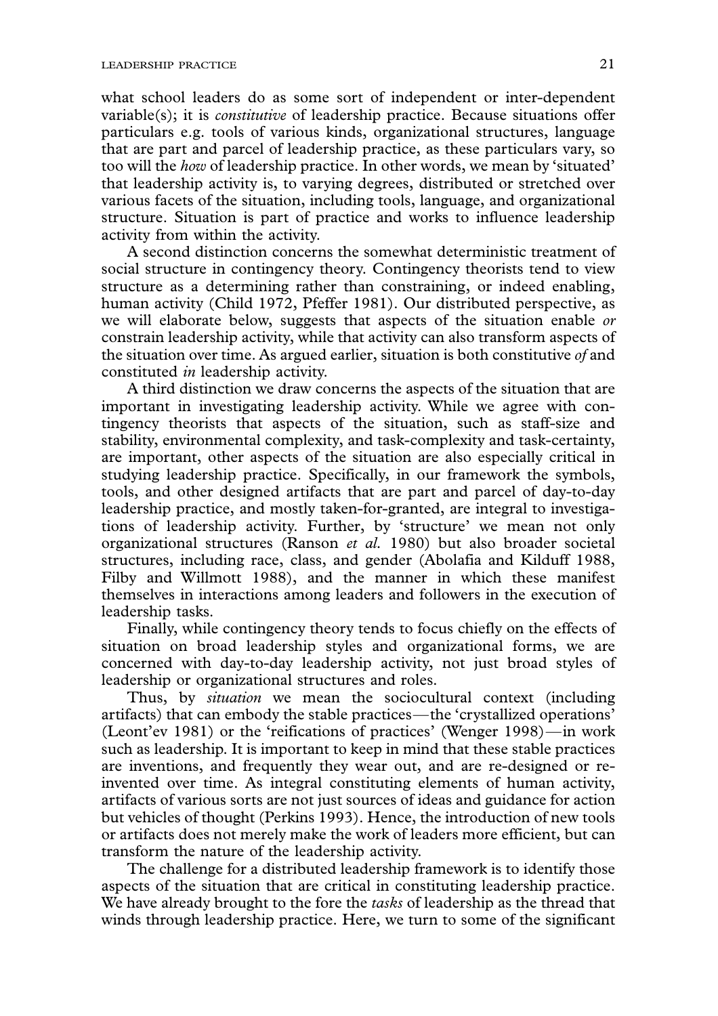what school leaders do as some sort of independent or inter-dependent variable(s); it is *constitutive* of leadership practice. Because situations offer particulars e.g. tools of various kinds, organizational structures, language that are part and parcel of leadership practice, as these particulars vary, so too will the *how* of leadership practice. In other words, we mean by 'situated' that leadership activity is, to varying degrees, distributed or stretched over various facets of the situation, including tools, language, and organizational structure. Situation is part of practice and works to influence leadership activity from within the activity.

A second distinction concerns the somewhat deterministic treatment of social structure in contingency theory. Contingency theorists tend to view structure as a determining rather than constraining, or indeed enabling, human activity (Child 1972, Pfeffer 1981). Our distributed perspective, as we will elaborate below, suggests that aspects of the situation enable *or* constrain leadership activity, while that activity can also transform aspects of the situation over time. As argued earlier, situation is both constitutive *of* and constituted *in* leadership activity.

A third distinction we draw concerns the aspects of the situation that are important in investigating leadership activity. While we agree with contingency theorists that aspects of the situation, such as staff-size and stability, environmental complexity, and task-complexity and task-certainty, are important, other aspects of the situation are also especially critical in studying leadership practice. Specifically, in our framework the symbols, tools, and other designed artifacts that are part and parcel of day-to-day leadership practice, and mostly taken-for-granted, are integral to investigations of leadership activity. Further, by 'structure' we mean not only organizational structures (Ranson *et al.* 1980) but also broader societal structures, including race, class, and gender (Abolafia and Kilduff 1988, Filby and Willmott 1988), and the manner in which these manifest themselves in interactions among leaders and followers in the execution of leadership tasks.

Finally, while contingency theory tends to focus chiefly on the effects of situation on broad leadership styles and organizational forms, we are concerned with day-to-day leadership activity, not just broad styles of leadership or organizational structures and roles.

Thus, by *situation* we mean the sociocultural context (including artifacts) that can embody the stable practices—the 'crystallized operations' (Leont'ev 1981) or the 'reifications of practices' (Wenger 1998)—in work such as leadership. It is important to keep in mind that these stable practices are inventions, and frequently they wear out, and are re-designed or reinvented over time. As integral constituting elements of human activity, artifacts of various sorts are not just sources of ideas and guidance for action but vehicles of thought (Perkins 1993). Hence, the introduction of new tools or artifacts does not merely make the work of leaders more efficient, but can transform the nature of the leadership activity.

The challenge for a distributed leadership framework is to identify those aspects of the situation that are critical in constituting leadership practice. We have already brought to the fore the *tasks* of leadership as the thread that winds through leadership practice. Here, we turn to some of the significant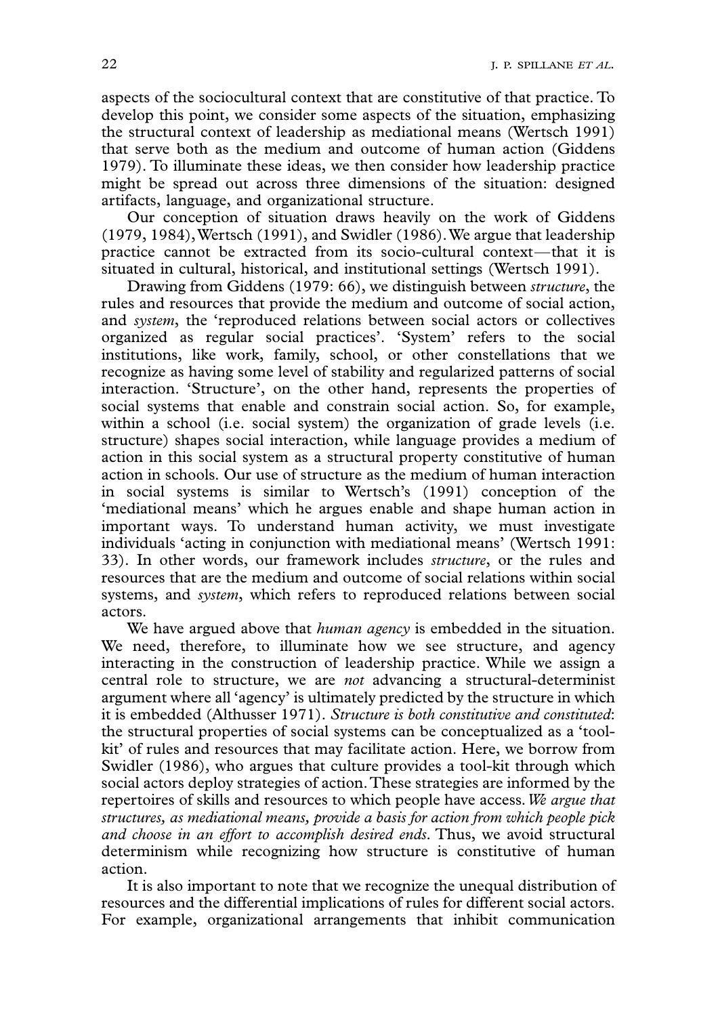aspects of the sociocultural context that are constitutive of that practice. To develop this point, we consider some aspects of the situation, emphasizing the structural context of leadership as mediational means (Wertsch 1991) that serve both as the medium and outcome of human action (Giddens 1979). To illuminate these ideas, we then consider how leadership practice might be spread out across three dimensions of the situation: designed artifacts, language, and organizational structure.

Our conception of situation draws heavily on the work of Giddens (1979, 1984), Wertsch (1991), and Swidler (1986). We argue that leadership practice cannot be extracted from its socio-cultural context—that it is situated in cultural, historical, and institutional settings (Wertsch 1991).

Drawing from Giddens (1979: 66), we distinguish between *structure*, the rules and resources that provide the medium and outcome of social action, and *system*, the 'reproduced relations between social actors or collectives organized as regular social practices'. 'System' refers to the social institutions, like work, family, school, or other constellations that we recognize as having some level of stability and regularized patterns of social interaction. 'Structure', on the other hand, represents the properties of social systems that enable and constrain social action. So, for example, within a school (i.e. social system) the organization of grade levels (i.e. structure) shapes social interaction, while language provides a medium of action in this social system as a structural property constitutive of human action in schools. Our use of structure as the medium of human interaction in social systems is similar to Wertsch's (1991) conception of the 'mediational means' which he argues enable and shape human action in important ways. To understand human activity, we must investigate individuals 'acting in conjunction with mediational means' (Wertsch 1991: 33). In other words, our framework includes *structure*, or the rules and resources that are the medium and outcome of social relations within social systems, and *system*, which refers to reproduced relations between social actors.

We have argued above that *human agency* is embedded in the situation. We need, therefore, to illuminate how we see structure, and agency interacting in the construction of leadership practice. While we assign a central role to structure, we are *not* advancing a structural-determinist argument where all 'agency' is ultimately predicted by the structure in which it is embedded (Althusser 1971). *Structure is both constitutive and constituted*: the structural properties of social systems can be conceptualized as a 'toolkit' of rules and resources that may facilitate action. Here, we borrow from Swidler (1986), who argues that culture provides a tool-kit through which social actors deploy strategies of action. These strategies are informed by the repertoires of skills and resources to which people have access. *We argue that structures, as mediational means, provide a basis for action from which people pick and choose in an effort to accomplish desired ends*. Thus, we avoid structural determinism while recognizing how structure is constitutive of human action.

It is also important to note that we recognize the unequal distribution of resources and the differential implications of rules for different social actors. For example, organizational arrangements that inhibit communication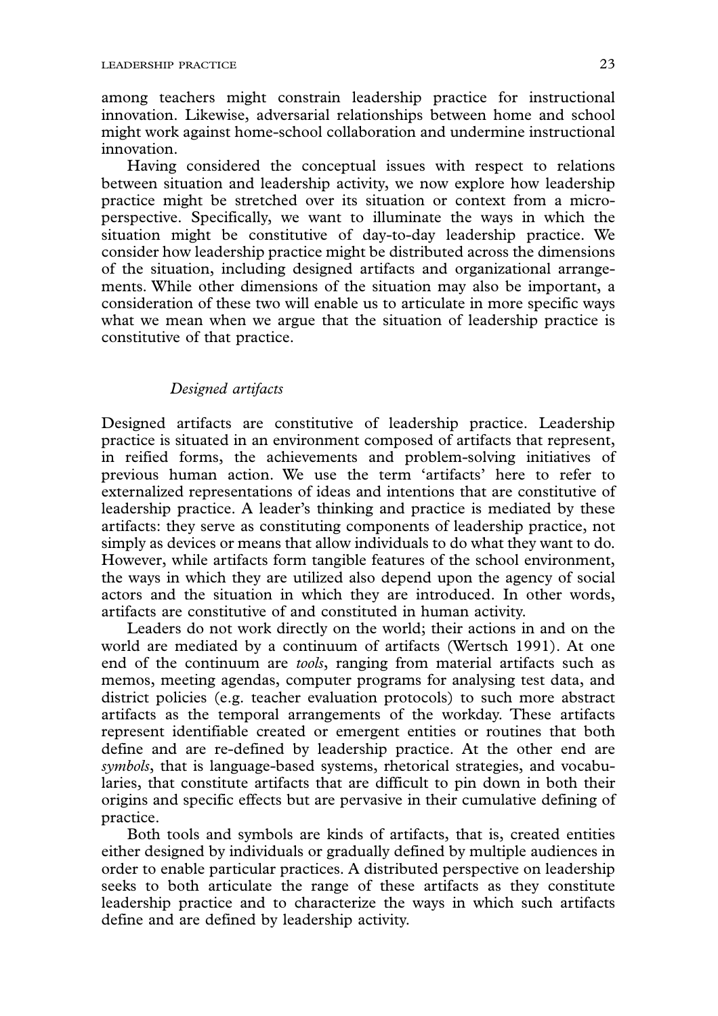among teachers might constrain leadership practice for instructional innovation. Likewise, adversarial relationships between home and school might work against home-school collaboration and undermine instructional innovation.

Having considered the conceptual issues with respect to relations between situation and leadership activity, we now explore how leadership practice might be stretched over its situation or context from a microperspective. Specifically, we want to illuminate the ways in which the situation might be constitutive of day-to-day leadership practice. We consider how leadership practice might be distributed across the dimensions of the situation, including designed artifacts and organizational arrangements. While other dimensions of the situation may also be important, a consideration of these two will enable us to articulate in more specific ways what we mean when we argue that the situation of leadership practice is constitutive of that practice.

# *Designed artifacts*

Designed artifacts are constitutive of leadership practice. Leadership practice is situated in an environment composed of artifacts that represent, in reified forms, the achievements and problem-solving initiatives of previous human action. We use the term 'artifacts' here to refer to externalized representations of ideas and intentions that are constitutive of leadership practice. A leader's thinking and practice is mediated by these artifacts: they serve as constituting components of leadership practice, not simply as devices or means that allow individuals to do what they want to do. However, while artifacts form tangible features of the school environment, the ways in which they are utilized also depend upon the agency of social actors and the situation in which they are introduced. In other words, artifacts are constitutive of and constituted in human activity.

Leaders do not work directly on the world; their actions in and on the world are mediated by a continuum of artifacts (Wertsch 1991). At one end of the continuum are *tools*, ranging from material artifacts such as memos, meeting agendas, computer programs for analysing test data, and district policies (e.g. teacher evaluation protocols) to such more abstract artifacts as the temporal arrangements of the workday. These artifacts represent identifiable created or emergent entities or routines that both define and are re-defined by leadership practice. At the other end are *symbols*, that is language-based systems, rhetorical strategies, and vocabularies, that constitute artifacts that are difficult to pin down in both their origins and specific effects but are pervasive in their cumulative defining of practice.

Both tools and symbols are kinds of artifacts, that is, created entities either designed by individuals or gradually defined by multiple audiences in order to enable particular practices. A distributed perspective on leadership seeks to both articulate the range of these artifacts as they constitute leadership practice and to characterize the ways in which such artifacts define and are defined by leadership activity.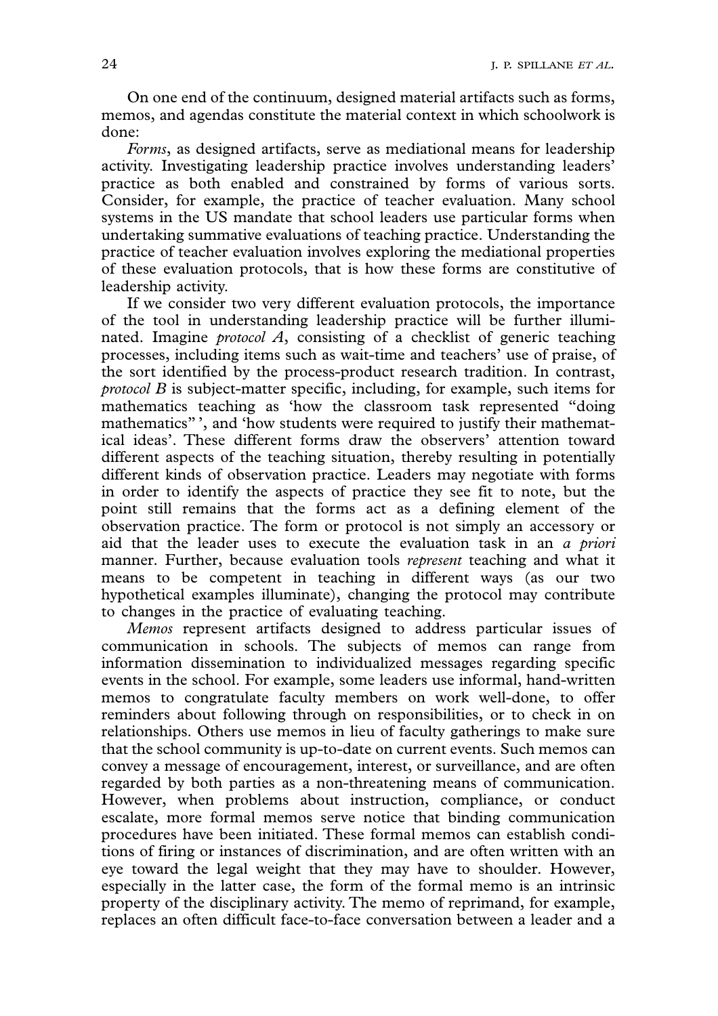On one end of the continuum, designed material artifacts such as forms, memos, and agendas constitute the material context in which schoolwork is done:

*Forms*, as designed artifacts, serve as mediational means for leadership activity. Investigating leadership practice involves understanding leaders' practice as both enabled and constrained by forms of various sorts. Consider, for example, the practice of teacher evaluation. Many school systems in the US mandate that school leaders use particular forms when undertaking summative evaluations of teaching practice. Understanding the practice of teacher evaluation involves exploring the mediational properties of these evaluation protocols, that is how these forms are constitutive of leadership activity.

If we consider two very different evaluation protocols, the importance of the tool in understanding leadership practice will be further illuminated. Imagine *protocol A*, consisting of a checklist of generic teaching processes, including items such as wait-time and teachers' use of praise, of the sort identified by the process-product research tradition. In contrast, *protocol B* is subject-matter specific, including, for example, such items for mathematics teaching as 'how the classroom task represented "doing mathematics" ', and 'how students were required to justify their mathematical ideas'. These different forms draw the observers' attention toward different aspects of the teaching situation, thereby resulting in potentially different kinds of observation practice. Leaders may negotiate with forms in order to identify the aspects of practice they see fit to note, but the point still remains that the forms act as a defining element of the observation practice. The form or protocol is not simply an accessory or aid that the leader uses to execute the evaluation task in an *a priori* manner. Further, because evaluation tools *represent* teaching and what it means to be competent in teaching in different ways (as our two hypothetical examples illuminate), changing the protocol may contribute to changes in the practice of evaluating teaching.

*Memos* represent artifacts designed to address particular issues of communication in schools. The subjects of memos can range from information dissemination to individualized messages regarding specific events in the school. For example, some leaders use informal, hand-written memos to congratulate faculty members on work well-done, to offer reminders about following through on responsibilities, or to check in on relationships. Others use memos in lieu of faculty gatherings to make sure that the school community is up-to-date on current events. Such memos can convey a message of encouragement, interest, or surveillance, and are often regarded by both parties as a non-threatening means of communication. However, when problems about instruction, compliance, or conduct escalate, more formal memos serve notice that binding communication procedures have been initiated. These formal memos can establish conditions of firing or instances of discrimination, and are often written with an eye toward the legal weight that they may have to shoulder. However, especially in the latter case, the form of the formal memo is an intrinsic property of the disciplinary activity. The memo of reprimand, for example, replaces an often difficult face-to-face conversation between a leader and a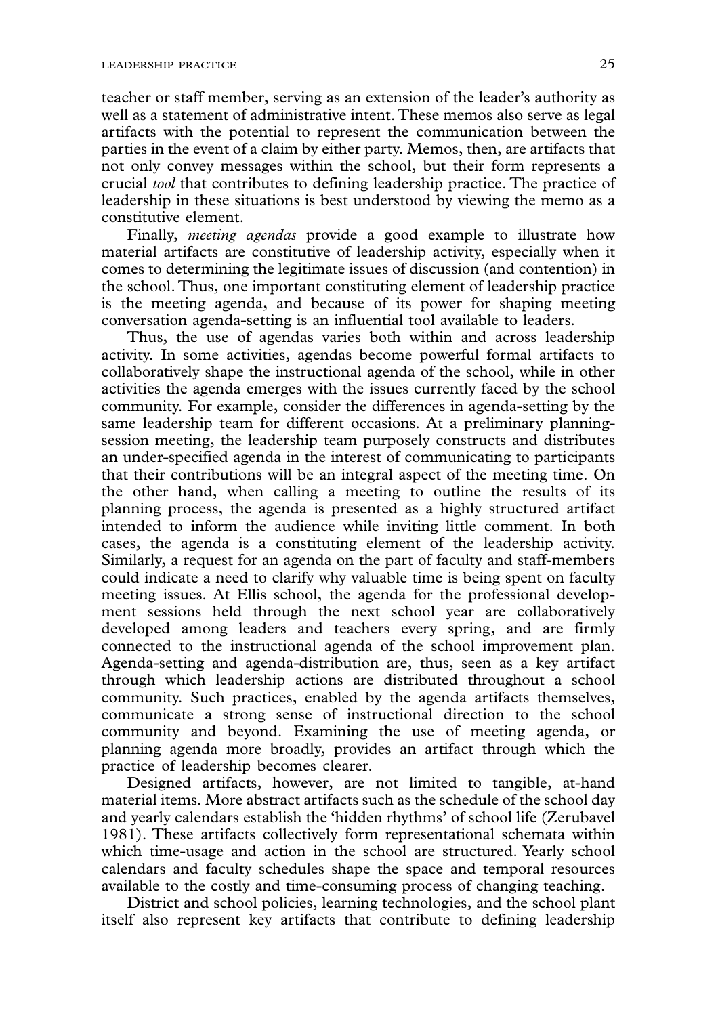teacher or staff member, serving as an extension of the leader's authority as well as a statement of administrative intent. These memos also serve as legal artifacts with the potential to represent the communication between the parties in the event of a claim by either party. Memos, then, are artifacts that not only convey messages within the school, but their form represents a crucial *tool* that contributes to defining leadership practice. The practice of leadership in these situations is best understood by viewing the memo as a constitutive element.

Finally, *meeting agendas* provide a good example to illustrate how material artifacts are constitutive of leadership activity, especially when it comes to determining the legitimate issues of discussion (and contention) in the school. Thus, one important constituting element of leadership practice is the meeting agenda, and because of its power for shaping meeting conversation agenda-setting is an influential tool available to leaders.

Thus, the use of agendas varies both within and across leadership activity. In some activities, agendas become powerful formal artifacts to collaboratively shape the instructional agenda of the school, while in other activities the agenda emerges with the issues currently faced by the school community. For example, consider the differences in agenda-setting by the same leadership team for different occasions. At a preliminary planningsession meeting, the leadership team purposely constructs and distributes an under-specified agenda in the interest of communicating to participants that their contributions will be an integral aspect of the meeting time. On the other hand, when calling a meeting to outline the results of its planning process, the agenda is presented as a highly structured artifact intended to inform the audience while inviting little comment. In both cases, the agenda is a constituting element of the leadership activity. Similarly, a request for an agenda on the part of faculty and staff-members could indicate a need to clarify why valuable time is being spent on faculty meeting issues. At Ellis school, the agenda for the professional development sessions held through the next school year are collaboratively developed among leaders and teachers every spring, and are firmly connected to the instructional agenda of the school improvement plan. Agenda-setting and agenda-distribution are, thus, seen as a key artifact through which leadership actions are distributed throughout a school community. Such practices, enabled by the agenda artifacts themselves, communicate a strong sense of instructional direction to the school community and beyond. Examining the use of meeting agenda, or planning agenda more broadly, provides an artifact through which the practice of leadership becomes clearer.

Designed artifacts, however, are not limited to tangible, at-hand material items. More abstract artifacts such as the schedule of the school day and yearly calendars establish the 'hidden rhythms' of school life (Zerubavel 1981). These artifacts collectively form representational schemata within which time-usage and action in the school are structured. Yearly school calendars and faculty schedules shape the space and temporal resources available to the costly and time-consuming process of changing teaching.

District and school policies, learning technologies, and the school plant itself also represent key artifacts that contribute to defining leadership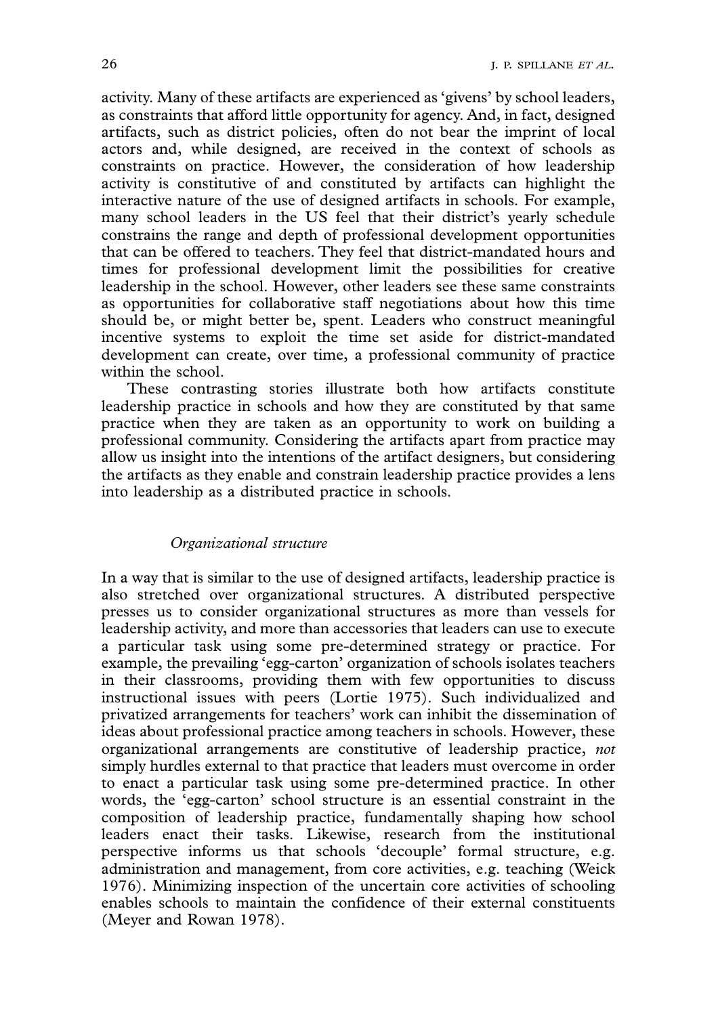activity. Many of these artifacts are experienced as 'givens' by school leaders, as constraints that afford little opportunity for agency. And, in fact, designed artifacts, such as district policies, often do not bear the imprint of local actors and, while designed, are received in the context of schools as constraints on practice. However, the consideration of how leadership activity is constitutive of and constituted by artifacts can highlight the interactive nature of the use of designed artifacts in schools. For example, many school leaders in the US feel that their district's yearly schedule constrains the range and depth of professional development opportunities that can be offered to teachers. They feel that district-mandated hours and times for professional development limit the possibilities for creative leadership in the school. However, other leaders see these same constraints as opportunities for collaborative staff negotiations about how this time should be, or might better be, spent. Leaders who construct meaningful incentive systems to exploit the time set aside for district-mandated development can create, over time, a professional community of practice within the school.

These contrasting stories illustrate both how artifacts constitute leadership practice in schools and how they are constituted by that same practice when they are taken as an opportunity to work on building a professional community. Considering the artifacts apart from practice may allow us insight into the intentions of the artifact designers, but considering the artifacts as they enable and constrain leadership practice provides a lens into leadership as a distributed practice in schools.

#### *Organizational structure*

In a way that is similar to the use of designed artifacts, leadership practice is also stretched over organizational structures. A distributed perspective presses us to consider organizational structures as more than vessels for leadership activity, and more than accessories that leaders can use to execute a particular task using some pre-determined strategy or practice. For example, the prevailing 'egg-carton' organization of schools isolates teachers in their classrooms, providing them with few opportunities to discuss instructional issues with peers (Lortie 1975). Such individualized and privatized arrangements for teachers' work can inhibit the dissemination of ideas about professional practice among teachers in schools. However, these organizational arrangements are constitutive of leadership practice, *not* simply hurdles external to that practice that leaders must overcome in order to enact a particular task using some pre-determined practice. In other words, the 'egg-carton' school structure is an essential constraint in the composition of leadership practice, fundamentally shaping how school leaders enact their tasks. Likewise, research from the institutional perspective informs us that schools 'decouple' formal structure, e.g. administration and management, from core activities, e.g. teaching (Weick 1976). Minimizing inspection of the uncertain core activities of schooling enables schools to maintain the confidence of their external constituents (Meyer and Rowan 1978).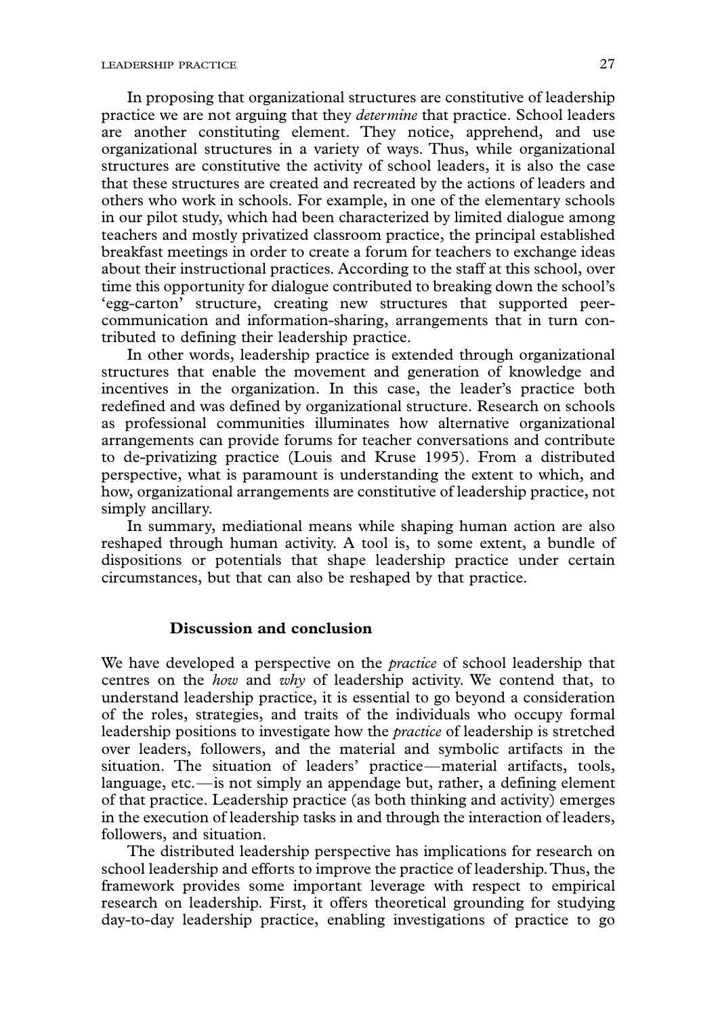In proposing that organizational structures are constitutive of leadership practice we are not arguing that they *determine* that practice. School leaders are another constituting element. They notice, apprehend, and use organizational structures in a variety of ways. Thus, while organizational structures are constitutive the activity of school leaders, it is also the case that these structures are created and recreated by the actions of leaders and others who work in schools. For example, in one of the elementary schools in our pilot study, which had been characterized by limited dialogue among teachers and mostly privatized classroom practice, the principal established breakfast meetings in order to create a forum for teachers to exchange ideas about their instructional practices. According to the staff at this school, over time this opportunity for dialogue contributed to breaking down the school's 'egg-carton' structure, creating new structures that supported peercommunication and information-sharing, arrangements that in turn contributed to defining their leadership practice.

In other words, leadership practice is extended through organizational structures that enable the movement and generation of knowledge and incentives in the organization. In this case, the leader's practice both redefined and was defined by organizational structure. Research on schools as professional communities illuminates how alternative organizational arrangements can provide forums for teacher conversations and contribute to de-privatizing practice (Louis and Kruse 1995). From a distributed perspective, what is paramount is understanding the extent to which, and how, organizational arrangements are constitutive of leadership practice, not simply ancillary.

In summary, mediational means while shaping human action are also reshaped through human activity. A tool is, to some extent, a bundle of dispositions or potentials that shape leadership practice under certain circumstances, but that can also be reshaped by that practice.

#### **Discussion and conclusion**

We have developed a perspective on the *practice* of school leadership that centres on the *how* and *why* of leadership activity. We contend that, to understand leadership practice, it is essential to go beyond a consideration of the roles, strategies, and traits of the individuals who occupy formal leadership positions to investigate how the *practice* of leadership is stretched over leaders, followers, and the material and symbolic artifacts in the situation. The situation of leaders' practice—material artifacts, tools, language, etc.—is not simply an appendage but, rather, a defining element of that practice. Leadership practice (as both thinking and activity) emerges in the execution of leadership tasks in and through the interaction of leaders, followers, and situation.

The distributed leadership perspective has implications for research on school leadership and efforts to improve the practice of leadership. Thus, the framework provides some important leverage with respect to empirical research on leadership. First, it offers theoretical grounding for studying day-to-day leadership practice, enabling investigations of practice to go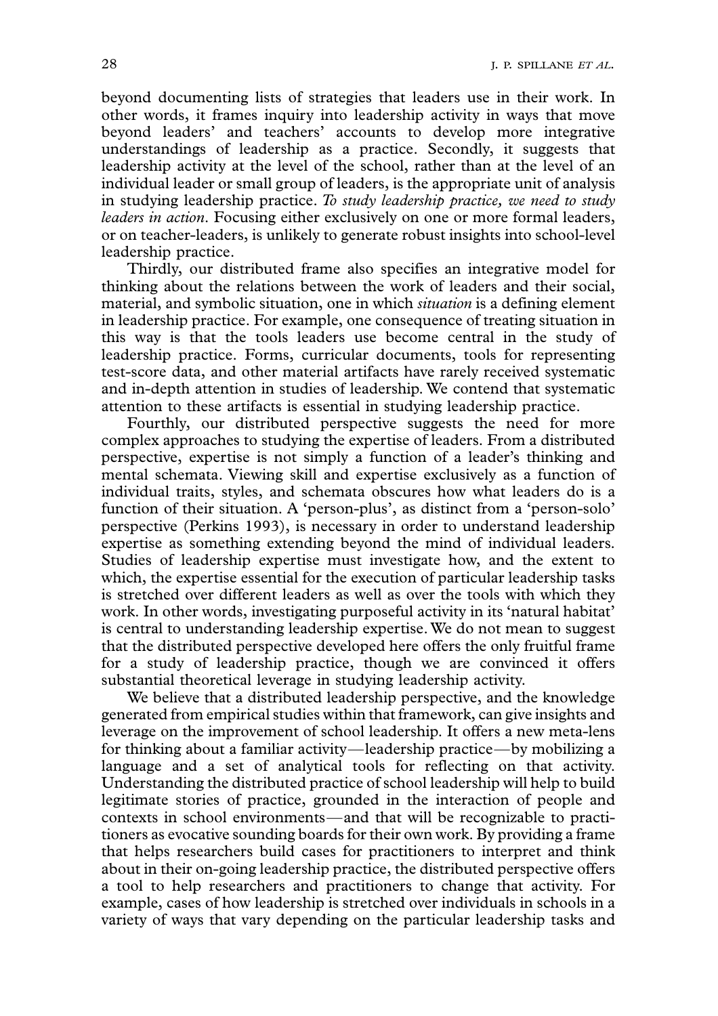beyond documenting lists of strategies that leaders use in their work. In other words, it frames inquiry into leadership activity in ways that move beyond leaders' and teachers' accounts to develop more integrative understandings of leadership as a practice. Secondly, it suggests that leadership activity at the level of the school, rather than at the level of an individual leader or small group of leaders, is the appropriate unit of analysis in studying leadership practice. *To study leadership practice, we need to study leaders in action*. Focusing either exclusively on one or more formal leaders, or on teacher-leaders, is unlikely to generate robust insights into school-level leadership practice.

Thirdly, our distributed frame also specifies an integrative model for thinking about the relations between the work of leaders and their social, material, and symbolic situation, one in which *situation* is a defining element in leadership practice. For example, one consequence of treating situation in this way is that the tools leaders use become central in the study of leadership practice. Forms, curricular documents, tools for representing test-score data, and other material artifacts have rarely received systematic and in-depth attention in studies of leadership. We contend that systematic attention to these artifacts is essential in studying leadership practice.

Fourthly, our distributed perspective suggests the need for more complex approaches to studying the expertise of leaders. From a distributed perspective, expertise is not simply a function of a leader's thinking and mental schemata. Viewing skill and expertise exclusively as a function of individual traits, styles, and schemata obscures how what leaders do is a function of their situation. A 'person-plus', as distinct from a 'person-solo' perspective (Perkins 1993), is necessary in order to understand leadership expertise as something extending beyond the mind of individual leaders. Studies of leadership expertise must investigate how, and the extent to which, the expertise essential for the execution of particular leadership tasks is stretched over different leaders as well as over the tools with which they work. In other words, investigating purposeful activity in its 'natural habitat' is central to understanding leadership expertise. We do not mean to suggest that the distributed perspective developed here offers the only fruitful frame for a study of leadership practice, though we are convinced it offers substantial theoretical leverage in studying leadership activity.

We believe that a distributed leadership perspective, and the knowledge generated from empirical studies within that framework, can give insights and leverage on the improvement of school leadership. It offers a new meta-lens for thinking about a familiar activity—leadership practice—by mobilizing a language and a set of analytical tools for reflecting on that activity. Understanding the distributed practice of school leadership will help to build legitimate stories of practice, grounded in the interaction of people and contexts in school environments—and that will be recognizable to practitioners as evocative sounding boards for their own work. By providing a frame that helps researchers build cases for practitioners to interpret and think about in their on-going leadership practice, the distributed perspective offers a tool to help researchers and practitioners to change that activity. For example, cases of how leadership is stretched over individuals in schools in a variety of ways that vary depending on the particular leadership tasks and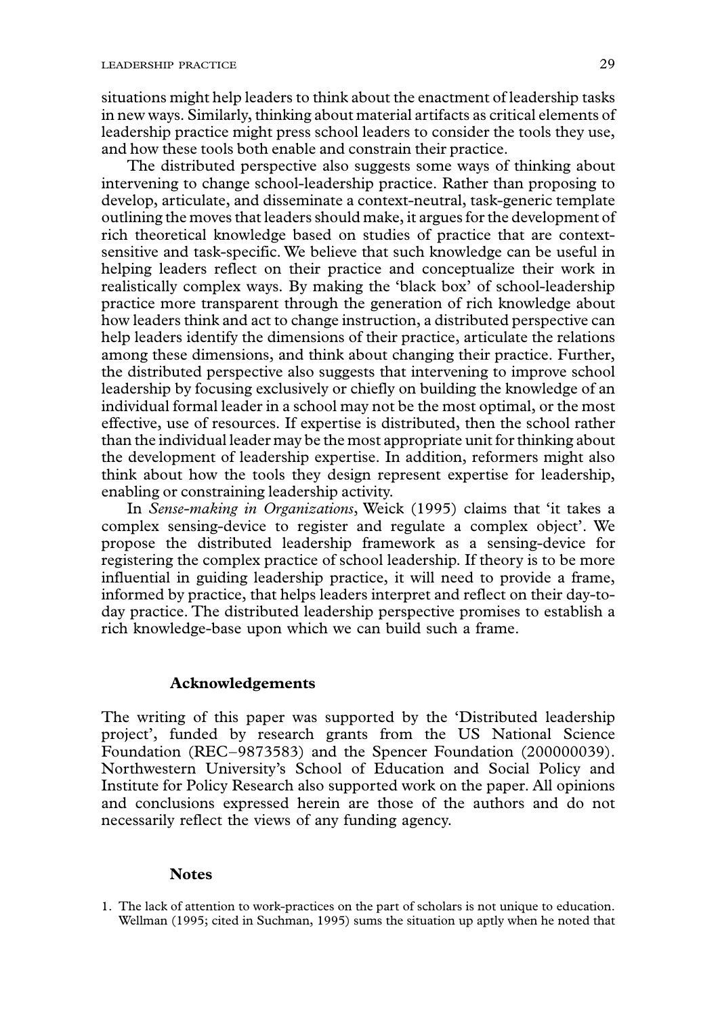situations might help leaders to think about the enactment of leadership tasks in new ways. Similarly, thinking about material artifacts as critical elements of leadership practice might press school leaders to consider the tools they use, and how these tools both enable and constrain their practice.

The distributed perspective also suggests some ways of thinking about intervening to change school-leadership practice. Rather than proposing to develop, articulate, and disseminate a context-neutral, task-generic template outlining the moves that leaders should make, it argues for the development of rich theoretical knowledge based on studies of practice that are contextsensitive and task-specific. We believe that such knowledge can be useful in helping leaders reflect on their practice and conceptualize their work in realistically complex ways. By making the 'black box' of school-leadership practice more transparent through the generation of rich knowledge about how leaders think and act to change instruction, a distributed perspective can help leaders identify the dimensions of their practice, articulate the relations among these dimensions, and think about changing their practice. Further, the distributed perspective also suggests that intervening to improve school leadership by focusing exclusively or chiefly on building the knowledge of an individual formal leader in a school may not be the most optimal, or the most effective, use of resources. If expertise is distributed, then the school rather than the individual leader may be the most appropriate unit for thinking about the development of leadership expertise. In addition, reformers might also think about how the tools they design represent expertise for leadership, enabling or constraining leadership activity.

In *Sense-making in Organizations*, Weick (1995) claims that 'it takes a complex sensing-device to register and regulate a complex object'. We propose the distributed leadership framework as a sensing-device for registering the complex practice of school leadership. If theory is to be more influential in guiding leadership practice, it will need to provide a frame, informed by practice, that helps leaders interpret and reflect on their day-today practice. The distributed leadership perspective promises to establish a rich knowledge-base upon which we can build such a frame.

#### **Acknowledgements**

The writing of this paper was supported by the 'Distributed leadership project', funded by research grants from the US National Science Foundation (REC–9873583) and the Spencer Foundation (200000039). Northwestern University's School of Education and Social Policy and Institute for Policy Research also supported work on the paper. All opinions and conclusions expressed herein are those of the authors and do not necessarily reflect the views of any funding agency.

#### **Notes**

<sup>1.</sup> The lack of attention to work-practices on the part of scholars is not unique to education. Wellman (1995; cited in Suchman, 1995) sums the situation up aptly when he noted that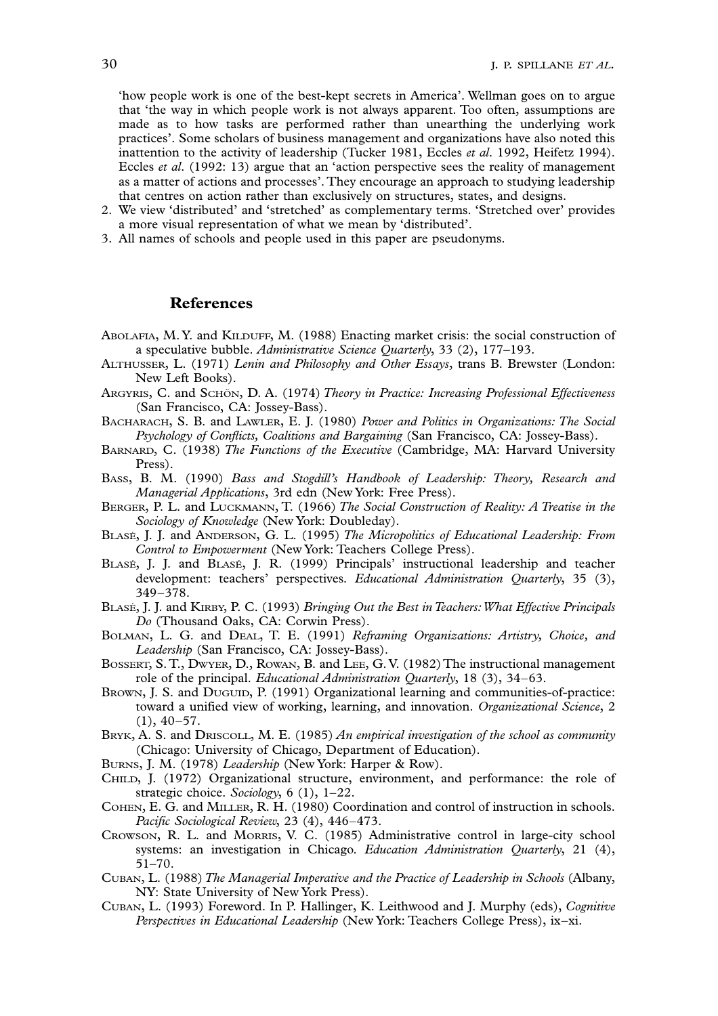'how people work is one of the best-kept secrets in America'. Wellman goes on to argue that 'the way in which people work is not always apparent. Too often, assumptions are made as to how tasks are performed rather than unearthing the underlying work practices'. Some scholars of business management and organizations have also noted this inattention to the activity of leadership (Tucker 1981, Eccles *et al*. 1992, Heifetz 1994). Eccles *et al*. (1992: 13) argue that an 'action perspective sees the reality of management as a matter of actions and processes'. They encourage an approach to studying leadership that centres on action rather than exclusively on structures, states, and designs.

- 2. We view 'distributed' and 'stretched' as complementary terms. 'Stretched over' provides a more visual representation of what we mean by 'distributed'.
- 3. All names of schools and people used in this paper are pseudonyms.

#### **References**

- ABOLAFIA, M. Y. and KILDUFF, M. (1988) Enacting market crisis: the social construction of a speculative bubble. *Administrative Science Quarterly*, 33 (2), 177–193.
- ALTHUSSER, L. (1971) *Lenin and Philosophy and Other Essays*, trans B. Brewster (London: New Left Books).
- ARGYRIS, C. and SCHÖN, D. A. (1974) *Theory in Practice: Increasing Professional Effectiveness* (San Francisco, CA: Jossey-Bass).
- BACHARACH, S. B. and LAWLER, E. J. (1980) *Power and Politics in Organizations: The Social Psychology of Conflicts, Coalitions and Bargaining* (San Francisco, CA: Jossey-Bass).
- BARNARD, C. (1938) *The Functions of the Executive* (Cambridge, MA: Harvard University Press).
- BASS, B. M. (1990) *Bass and Stogdill's Handbook of Leadership: Theory, Research and Managerial Applications*, 3rd edn (New York: Free Press).
- BERGER, P. L. and LUCKMANN, T. (1966) *The Social Construction of Reality: A Treatise in the Sociology of Knowledge* (New York: Doubleday).
- BLASE´ , J. J. and ANDERSON, G. L. (1995) *The Micropolitics of Educational Leadership: From Control to Empowerment* (New York: Teachers College Press).
- BLASÉ, J. J. and BLASÉ, J. R. (1999) Principals' instructional leadership and teacher development: teachers' perspectives. *Educational Administration Quarterly*, 35 (3), 349–378.
- BLASE´ , J. J. and KIRBY, P. C. (1993) *Bringing Out the Best in Teachers: What Effective Principals Do* (Thousand Oaks, CA: Corwin Press).
- BOLMAN, L. G. and DEAL, T. E. (1991) *Reframing Organizations: Artistry, Choice, and Leadership* (San Francisco, CA: Jossey-Bass).
- BOSSERT, S. T., DWYER, D., ROWAN, B. and LEE, G. V. (1982) The instructional management role of the principal. *Educational Administration Quarterly*, 18 (3), 34–63.
- BROWN, J. S. and DUGUID, P. (1991) Organizational learning and communities-of-practice: toward a unified view of working, learning, and innovation. *Organizational Science*, 2  $(1), 40-57.$
- BRYK, A. S. and DRISCOLL, M. E. (1985) *An empirical investigation of the school as community* (Chicago: University of Chicago, Department of Education).
- BURNS, J. M. (1978) *Leadership* (New York: Harper & Row).
- CHILD, J. (1972) Organizational structure, environment, and performance: the role of strategic choice. *Sociology*, 6 (1), 1–22.
- COHEN, E. G. and MILLER, R. H. (1980) Coordination and control of instruction in schools. *Pacific Sociological Review*, 23 (4), 446–473.
- CROWSON, R. L. and MORRIS, V. C. (1985) Administrative control in large-city school systems: an investigation in Chicago. *Education Administration Quarterly*, 21 (4), 51–70.
- CUBAN, L. (1988) *The Managerial Imperative and the Practice of Leadership in Schools* (Albany, NY: State University of New York Press).
- CUBAN, L. (1993) Foreword. In P. Hallinger, K. Leithwood and J. Murphy (eds), *Cognitive Perspectives in Educational Leadership* (New York: Teachers College Press), ix–xi.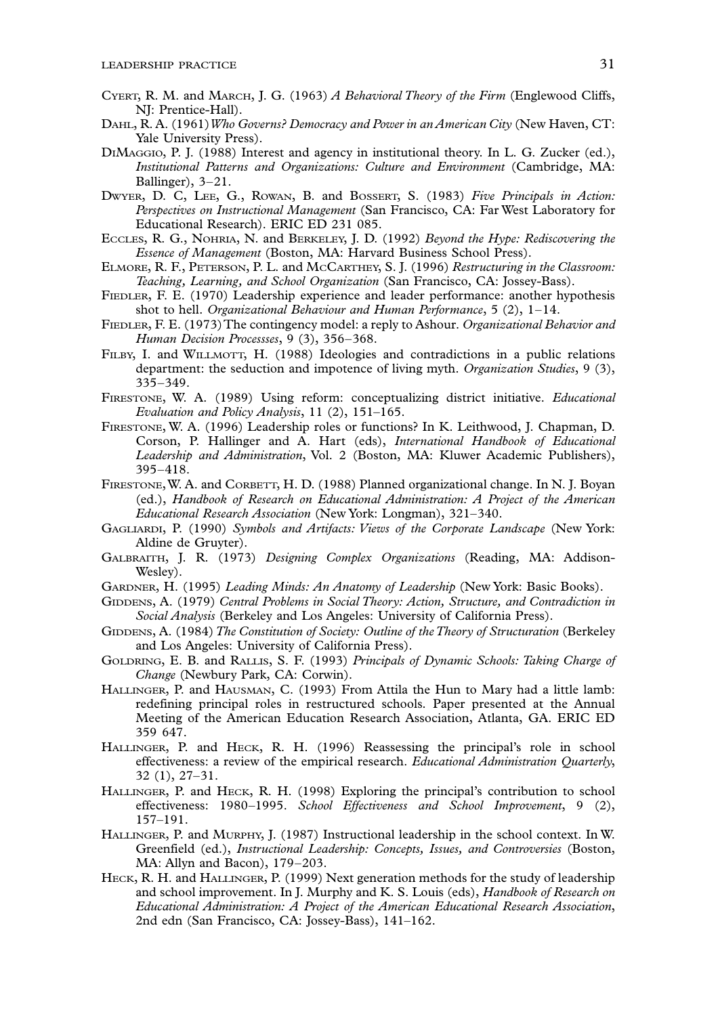- CYERT, R. M. and MARCH, J. G. (1963) *A Behavioral Theory of the Firm* (Englewood Cliffs, NJ: Prentice-Hall).
- DAHL, R. A. (1961) *Who Governs? Democracy and Power in an American City* (New Haven, CT: Yale University Press).
- DIMAGGIO, P. J. (1988) Interest and agency in institutional theory. In L. G. Zucker (ed.), *Institutional Patterns and Organizations: Culture and Environment* (Cambridge, MA: Ballinger), 3–21.
- DWYER, D. C, LEE, G., ROWAN, B. and BOSSERT, S. (1983) *Five Principals in Action: Perspectives on Instructional Management* (San Francisco, CA: Far West Laboratory for Educational Research). ERIC ED 231 085.
- ECCLES, R. G., NOHRIA, N. and BERKELEY, J. D. (1992) *Beyond the Hype: Rediscovering the Essence of Management* (Boston, MA: Harvard Business School Press).
- ELMORE, R. F., PETERSON, P. L. and MCCARTHEY, S. J. (1996) *Restructuring in the Classroom: Teaching, Learning, and School Organization* (San Francisco, CA: Jossey-Bass).
- FIEDLER, F. E. (1970) Leadership experience and leader performance: another hypothesis shot to hell. *Organizational Behaviour and Human Performance*, 5 (2), 1–14.
- FIEDLER, F. E. (1973) The contingency model: a reply to Ashour. *Organizational Behavior and Human Decision Processses*, 9 (3), 356–368.
- FILBY, I. and WILLMOTT, H. (1988) Ideologies and contradictions in a public relations department: the seduction and impotence of living myth. *Organization Studies*, 9 (3), 335–349.
- FIRESTONE, W. A. (1989) Using reform: conceptualizing district initiative. *Educational Evaluation and Policy Analysis*, 11 (2), 151–165.
- FIRESTONE, W. A. (1996) Leadership roles or functions? In K. Leithwood, J. Chapman, D. Corson, P. Hallinger and A. Hart (eds), *International Handbook of Educational Leadership and Administration*, Vol. 2 (Boston, MA: Kluwer Academic Publishers), 395–418.
- FIRESTONE, W. A. and CORBETT, H. D. (1988) Planned organizational change. In N. J. Boyan (ed.), *Handbook of Research on Educational Administration: A Project of the American Educational Research Association* (New York: Longman), 321–340.
- GAGLIARDI, P. (1990) *Symbols and Artifacts: Views of the Corporate Landscape* (New York: Aldine de Gruyter).
- GALBRAITH, J. R. (1973) *Designing Complex Organizations* (Reading, MA: Addison-Wesley).
- GARDNER, H. (1995) *Leading Minds: An Anatomy of Leadership* (New York: Basic Books).
- GIDDENS, A. (1979) *Central Problems in Social Theory: Action, Structure, and Contradiction in Social Analysis* (Berkeley and Los Angeles: University of California Press).
- GIDDENS, A. (1984) *The Constitution of Society: Outline of the Theory of Structuration* (Berkeley and Los Angeles: University of California Press).
- GOLDRING, E. B. and RALLIS, S. F. (1993) *Principals of Dynamic Schools: Taking Charge of Change* (Newbury Park, CA: Corwin).
- HALLINGER, P. and HAUSMAN, C. (1993) From Attila the Hun to Mary had a little lamb: redefining principal roles in restructured schools. Paper presented at the Annual Meeting of the American Education Research Association, Atlanta, GA. ERIC ED 359 647.
- HALLINGER, P. and HECK, R. H. (1996) Reassessing the principal's role in school effectiveness: a review of the empirical research. *Educational Administration Quarterly*, 32 (1), 27–31.
- HALLINGER, P. and HECK, R. H. (1998) Exploring the principal's contribution to school effectiveness: 1980–1995. *School Effectiveness and School Improvement*, 9 (2), 157–191.
- HALLINGER, P. and MURPHY, J. (1987) Instructional leadership in the school context. In W. Greenfield (ed.), *Instructional Leadership: Concepts, Issues, and Controversies* (Boston, MA: Allyn and Bacon), 179–203.
- HECK, R. H. and HALLINGER, P. (1999) Next generation methods for the study of leadership and school improvement. In J. Murphy and K. S. Louis (eds), *Handbook of Research on Educational Administration: A Project of the American Educational Research Association*, 2nd edn (San Francisco, CA: Jossey-Bass), 141–162.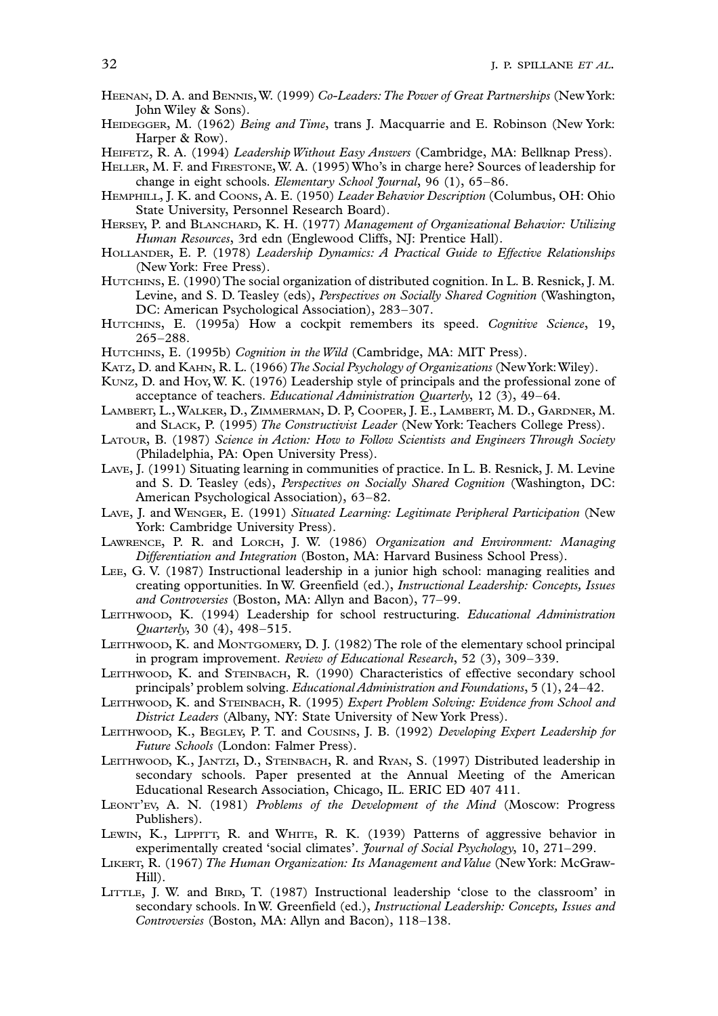- HEENAN, D. A. and BENNIS, W. (1999) *Co-Leaders: The Power of Great Partnerships* (New York: John Wiley & Sons).
- HEIDEGGER, M. (1962) *Being and Time*, trans J. Macquarrie and E. Robinson (New York: Harper & Row).
- HEIFETZ, R. A. (1994) *Leadership Without Easy Answers* (Cambridge, MA: Bellknap Press).
- HELLER, M. F. and FIRESTONE, W. A. (1995) Who's in charge here? Sources of leadership for change in eight schools. *Elementary School Journal*, 96 (1), 65–86.
- HEMPHILL, J. K. and COONS, A. E. (1950) *Leader Behavior Description* (Columbus, OH: Ohio State University, Personnel Research Board).
- HERSEY, P. and BLANCHARD, K. H. (1977) *Management of Organizational Behavior: Utilizing Human Resources*, 3rd edn (Englewood Cliffs, NJ: Prentice Hall).
- HOLLANDER, E. P. (1978) *Leadership Dynamics: A Practical Guide to Effective Relationships* (New York: Free Press).
- HUTCHINS, E. (1990) The social organization of distributed cognition. In L. B. Resnick, J. M. Levine, and S. D. Teasley (eds), *Perspectives on Socially Shared Cognition* (Washington, DC: American Psychological Association), 283–307.
- HUTCHINS, E. (1995a) How a cockpit remembers its speed. *Cognitive Science*, 19, 265–288.
- HUTCHINS, E. (1995b) *Cognition in the Wild* (Cambridge, MA: MIT Press).
- KATZ, D. and KAHN, R. L. (1966) *The Social Psychology of Organizations* (New York: Wiley).
- KUNZ, D. and HOY, W. K. (1976) Leadership style of principals and the professional zone of acceptance of teachers. *Educational Administration Quarterly*, 12 (3), 49–64.
- LAMBERT, L., WALKER, D., ZIMMERMAN, D. P, COOPER, J. E., LAMBERT, M. D., GARDNER, M. and SLACK, P. (1995) *The Constructivist Leader* (New York: Teachers College Press).
- LATOUR, B. (1987) *Science in Action: How to Follow Scientists and Engineers Through Society* (Philadelphia, PA: Open University Press).
- LAVE, J. (1991) Situating learning in communities of practice. In L. B. Resnick, J. M. Levine and S. D. Teasley (eds), *Perspectives on Socially Shared Cognition* (Washington, DC: American Psychological Association), 63–82.
- LAVE, J. and WENGER, E. (1991) *Situated Learning: Legitimate Peripheral Participation* (New York: Cambridge University Press).
- LAWRENCE, P. R. and LORCH, J. W. (1986) *Organization and Environment: Managing Differentiation and Integration* (Boston, MA: Harvard Business School Press).
- LEE, G. V. (1987) Instructional leadership in a junior high school: managing realities and creating opportunities. In W. Greenfield (ed.), *Instructional Leadership: Concepts, Issues and Controversies* (Boston, MA: Allyn and Bacon), 77–99.
- LEITHWOOD, K. (1994) Leadership for school restructuring. *Educational Administration Quarterly*, 30 (4), 498–515.
- LEITHWOOD, K. and MONTGOMERY, D. J. (1982) The role of the elementary school principal in program improvement. *Review of Educational Research*, 52 (3), 309–339.
- LEITHWOOD, K. and STEINBACH, R. (1990) Characteristics of effective secondary school principals' problem solving. *Educational Administration and Foundations*, 5 (1), 24–42.
- LEITHWOOD, K. and STEINBACH, R. (1995) *Expert Problem Solving: Evidence from School and District Leaders* (Albany, NY: State University of New York Press).
- LEITHWOOD, K., BEGLEY, P. T. and COUSINS, J. B. (1992) *Developing Expert Leadership for Future Schools* (London: Falmer Press).
- LEITHWOOD, K., JANTZI, D., STEINBACH, R. and RYAN, S. (1997) Distributed leadership in secondary schools. Paper presented at the Annual Meeting of the American Educational Research Association, Chicago, IL. ERIC ED 407 411.
- LEONT'EV, A. N. (1981) *Problems of the Development of the Mind* (Moscow: Progress Publishers).
- LEWIN, K., LIPPITT, R. and WHITE, R. K. (1939) Patterns of aggressive behavior in experimentally created 'social climates'. *Journal of Social Psychology*, 10, 271–299.
- LIKERT, R. (1967) *The Human Organization: Its Management and Value* (New York: McGraw-Hill).
- LITTLE, J. W. and BIRD, T. (1987) Instructional leadership 'close to the classroom' in secondary schools. In W. Greenfield (ed.), *Instructional Leadership: Concepts, Issues and Controversies* (Boston, MA: Allyn and Bacon), 118–138.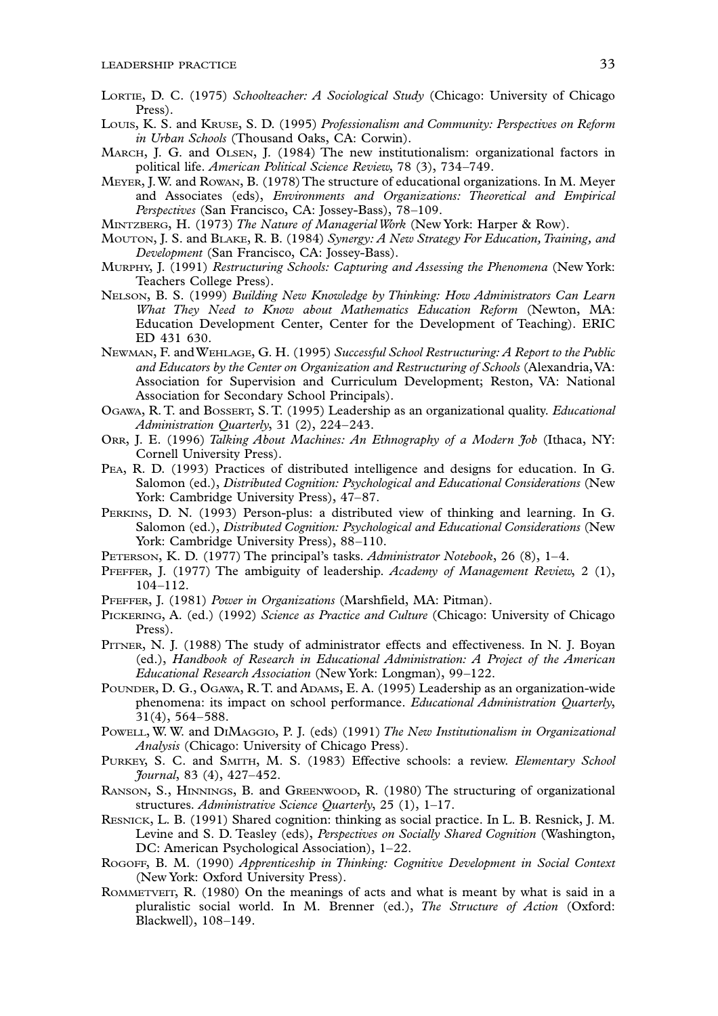- LORTIE, D. C. (1975) *Schoolteacher: A Sociological Study* (Chicago: University of Chicago Press).
- LOUIS, K. S. and KRUSE, S. D. (1995) *Professionalism and Community: Perspectives on Reform in Urban Schools* (Thousand Oaks, CA: Corwin).
- MARCH, J. G. and OLSEN, J. (1984) The new institutionalism: organizational factors in political life. *American Political Science Review*, 78 (3), 734–749.
- MEYER, J. W. and ROWAN, B. (1978) The structure of educational organizations. In M. Meyer and Associates (eds), *Environments and Organizations: Theoretical and Empirical Perspectives* (San Francisco, CA: Jossey-Bass), 78–109.
- MINTZBERG, H. (1973) *The Nature of Managerial Work* (New York: Harper & Row).
- MOUTON, J. S. and BLAKE, R. B. (1984) *Synergy: A New Strategy For Education, Training, and Development* (San Francisco, CA: Jossey-Bass).
- MURPHY, J. (1991) *Restructuring Schools: Capturing and Assessing the Phenomena* (New York: Teachers College Press).
- NELSON, B. S. (1999) *Building New Knowledge by Thinking: How Administrators Can Learn What They Need to Know about Mathematics Education Reform* (Newton, MA: Education Development Center, Center for the Development of Teaching). ERIC ED 431 630.
- NEWMAN, F. and WEHLAGE, G. H. (1995) *Successful School Restructuring: A Report to the Public and Educators by the Center on Organization and Restructuring of Schools* (Alexandria, VA: Association for Supervision and Curriculum Development; Reston, VA: National Association for Secondary School Principals).
- OGAWA, R. T. and BOSSERT, S. T. (1995) Leadership as an organizational quality. *Educational Administration Quarterly*, 31 (2), 224–243.
- ORR, J. E. (1996) *Talking About Machines: An Ethnography of a Modern Job* (Ithaca, NY: Cornell University Press).
- PEA, R. D. (1993) Practices of distributed intelligence and designs for education. In G. Salomon (ed.), *Distributed Cognition: Psychological and Educational Considerations* (New York: Cambridge University Press), 47–87.
- PERKINS, D. N. (1993) Person-plus: a distributed view of thinking and learning. In G. Salomon (ed.), *Distributed Cognition: Psychological and Educational Considerations* (New York: Cambridge University Press), 88–110.
- PETERSON, K. D. (1977) The principal's tasks. *Administrator Notebook*, 26 (8), 1–4.
- PFEFFER, J. (1977) The ambiguity of leadership. *Academy of Management Review*, 2 (1), 104–112.
- PFEFFER, J. (1981) *Power in Organizations* (Marshfield, MA: Pitman).
- PICKERING, A. (ed.) (1992) *Science as Practice and Culture* (Chicago: University of Chicago Press).
- PITNER, N. J. (1988) The study of administrator effects and effectiveness. In N. J. Boyan (ed.), *Handbook of Research in Educational Administration: A Project of the American Educational Research Association* (New York: Longman), 99–122.
- POUNDER, D. G., OGAWA, R. T. and ADAMS, E. A. (1995) Leadership as an organization-wide phenomena: its impact on school performance. *Educational Administration Quarterly*, 31(4), 564–588.
- POWELL, W. W. and DIMAGGIO, P. J. (eds) (1991) *The New Institutionalism in Organizational Analysis* (Chicago: University of Chicago Press).
- PURKEY, S. C. and SMITH, M. S. (1983) Effective schools: a review. *Elementary School Journal*, 83 (4), 427–452.
- RANSON, S., HINNINGS, B. and GREENWOOD, R. (1980) The structuring of organizational structures. *Administrative Science Quarterly*, 25 (1), 1–17.
- RESNICK, L. B. (1991) Shared cognition: thinking as social practice. In L. B. Resnick, J. M. Levine and S. D. Teasley (eds), *Perspectives on Socially Shared Cognition* (Washington, DC: American Psychological Association), 1–22.
- ROGOFF, B. M. (1990) *Apprenticeship in Thinking: Cognitive Development in Social Context* (New York: Oxford University Press).
- ROMMETVEIT, R. (1980) On the meanings of acts and what is meant by what is said in a pluralistic social world. In M. Brenner (ed.), *The Structure of Action* (Oxford: Blackwell), 108–149.